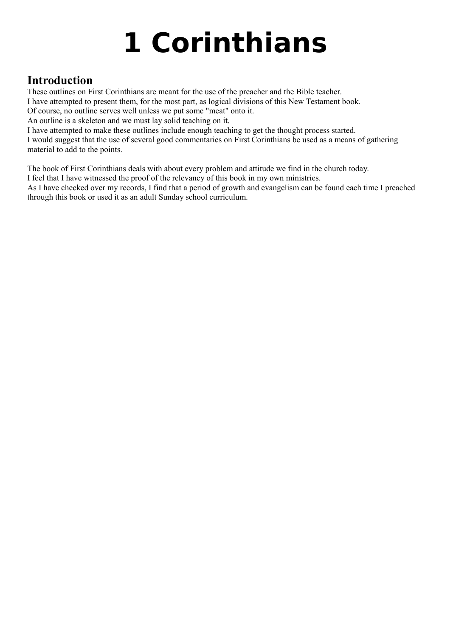# **1 Corinthians**

## **Introduction**

These outlines on First Corinthians are meant for the use of the preacher and the Bible teacher.

I have attempted to present them, for the most part, as logical divisions of this New Testament book.

Of course, no outline serves well unless we put some "meat" onto it.

An outline is a skeleton and we must lay solid teaching on it.

I have attempted to make these outlines include enough teaching to get the thought process started.

I would suggest that the use of several good commentaries on First Corinthians be used as a means of gathering material to add to the points.

The book of First Corinthians deals with about every problem and attitude we find in the church today.

I feel that I have witnessed the proof of the relevancy of this book in my own ministries.

As I have checked over my records, I find that a period of growth and evangelism can be found each time I preached through this book or used it as an adult Sunday school curriculum.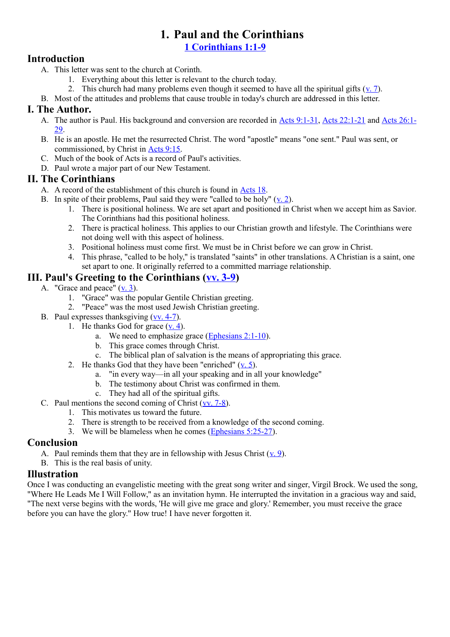## **1. Paul and the Corinthians**

**[1 Corinthians 1:1-9](http://www.crossbooks.com/verse.asp?ref=1Co+1%3A1-9)**

#### **Introduction**

- A. This letter was sent to the church at Corinth.
	- 1. Everything about this letter is relevant to the church today.
	- 2. This church had many problems even though it seemed to have all the spiritual gifts  $(v, 7)$ .
- B. Most of the attitudes and problems that cause trouble in today's church are addressed in this letter.

#### **I. The Author.**

- A. The author is Paul. His background and conversion are recorded in [Acts 9:1-31,](http://www.crossbooks.com/verse.asp?ref=Ac+9%3A1-31) [Acts 22:1-21](http://www.crossbooks.com/verse.asp?ref=Ac+22%3A1-21) and [Acts 26:1-](http://www.crossbooks.com/verse.asp?ref=Ac+26%3A1-29) [29.](http://www.crossbooks.com/verse.asp?ref=Ac+26%3A1-29)
- B. He is an apostle. He met the resurrected Christ. The word "apostle" means "one sent." Paul was sent, or commissioned, by Christ in [Acts 9:15.](http://www.crossbooks.com/verse.asp?ref=Ac+9%3A15)
- C. Much of the book of Acts is a record of Paul's activities.
- D. Paul wrote a major part of our New Testament.

#### **II. The Corinthians**

- A. A record of the establishment of this church is found in [Acts 18.](http://www.crossbooks.com/verse.asp?ref=Ac+18)
- B. In spite of their problems, Paul said they were "called to be holy"  $(v, 2)$ .
	- 1. There is positional holiness. We are set apart and positioned in Christ when we accept him as Savior. The Corinthians had this positional holiness.
	- 2. There is practical holiness. This applies to our Christian growth and lifestyle. The Corinthians were not doing well with this aspect of holiness.
	- 3. Positional holiness must come first. We must be in Christ before we can grow in Christ.
	- 4. This phrase, "called to be holy," is translated "saints" in other translations. A Christian is a saint, one set apart to one. It originally referred to a committed marriage relationship.

#### **III. Paul's Greeting to the Corinthians [\(vv. 3-9\)](http://www.crossbooks.com/verse.asp?ref=1Co+1%3A3-9)**

- A. "Grace and peace" [\(v. 3\)](http://www.crossbooks.com/verse.asp?ref=1Co+1%3A3).
	- 1. "Grace" was the popular Gentile Christian greeting.
	- 2. "Peace" was the most used Jewish Christian greeting.
- B. Paul expresses thanksgiving [\(vv. 4-7\)](http://www.crossbooks.com/verse.asp?ref=1Co+1%3A4-7).
	- 1. He thanks God for grace  $(v, 4)$ .
		- a. We need to emphasize grace [\(Ephesians 2:1-10\)](http://www.crossbooks.com/verse.asp?ref=Eph+2%3A1-10).
		- b. This grace comes through Christ.
		- c. The biblical plan of salvation is the means of appropriating this grace.
	- 2. He thanks God that they have been "enriched"  $(v, 5)$ .
		- a. "in every way—in all your speaking and in all your knowledge"
		- b. The testimony about Christ was confirmed in them.
		- c. They had all of the spiritual gifts.
- C. Paul mentions the second coming of Christ [\(vv. 7-8\)](http://www.crossbooks.com/verse.asp?ref=1Co+1%3A7-8).
	- 1. This motivates us toward the future.
	- 2. There is strength to be received from a knowledge of the second coming.
	- 3. We will be blameless when he comes [\(Ephesians 5:25-27\)](http://www.crossbooks.com/verse.asp?ref=Eph+5%3A25-27).

#### **Conclusion**

- A. Paul reminds them that they are in fellowship with Jesus Christ  $(v, 9)$ .
- B. This is the real basis of unity.

#### **Illustration**

Once I was conducting an evangelistic meeting with the great song writer and singer, Virgil Brock. We used the song, "Where He Leads Me I Will Follow," as an invitation hymn. He interrupted the invitation in a gracious way and said, "The next verse begins with the words, 'He will give me grace and glory.' Remember, you must receive the grace before you can have the glory." How true! I have never forgotten it.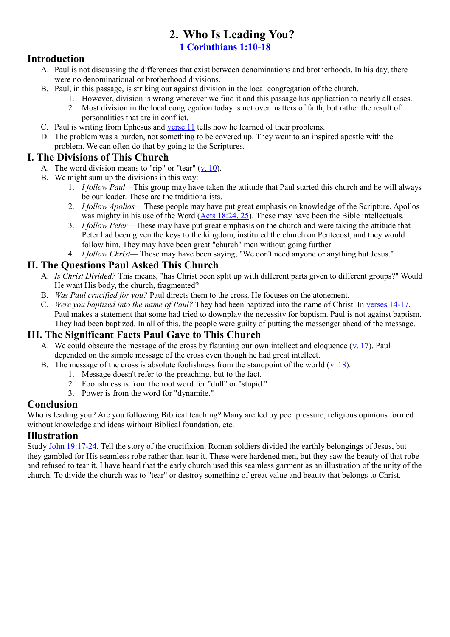## **2. Who Is Leading You?**

**[1 Corinthians 1:10-18](http://www.crossbooks.com/verse.asp?ref=1Co+1%3A10-18)**

#### **Introduction**

- A. Paul is not discussing the differences that exist between denominations and brotherhoods. In his day, there were no denominational or brotherhood divisions.
- B. Paul, in this passage, is striking out against division in the local congregation of the church.
	- 1. However, division is wrong wherever we find it and this passage has application to nearly all cases.
	- 2. Most division in the local congregation today is not over matters of faith, but rather the result of personalities that are in conflict.
- C. Paul is writing from Ephesus and [verse 11](http://www.crossbooks.com/verse.asp?ref=1Co+1%3A11) tells how he learned of their problems.
- D. The problem was a burden, not something to be covered up. They went to an inspired apostle with the problem. We can often do that by going to the Scriptures.

#### **I. The Divisions of This Church**

- A. The word division means to "rip" or "tear"  $(v, 10)$ .
- B. We might sum up the divisions in this way:
	- 1. *I follow Paul*—This group may have taken the attitude that Paul started this church and he will always be our leader. These are the traditionalists.
	- 2. *I follow Apollos—* These people may have put great emphasis on knowledge of the Scripture. Apollos was mighty in his use of the Word [\(Acts 18:24, 25\)](http://www.crossbooks.com/verse.asp?ref=Ac+18%3A24-25). These may have been the Bible intellectuals.
	- 3. *I follow Peter*—These may have put great emphasis on the church and were taking the attitude that Peter had been given the keys to the kingdom, instituted the church on Pentecost, and they would follow him. They may have been great "church" men without going further.
	- 4. *I follow Christ—* These may have been saying, "We don't need anyone or anything but Jesus."

#### **II. The Questions Paul Asked This Church**

- A. *Is Christ Divided?* This means, "has Christ been split up with different parts given to different groups?" Would He want His body, the church, fragmented?
- B. *Was Paul crucified for you?* Paul directs them to the cross. He focuses on the atonement.
- C. *Were you baptized into the name of Paul?* They had been baptized into the name of Christ. In [verses 14-17,](http://www.crossbooks.com/verse.asp?ref=1Co+1%3A14-17) Paul makes a statement that some had tried to downplay the necessity for baptism. Paul is not against baptism. They had been baptized. In all of this, the people were guilty of putting the messenger ahead of the message.

#### **III. The Significant Facts Paul Gave to This Church**

- A. We could obscure the message of the cross by flaunting our own intellect and eloquence ([v. 17\)](http://www.crossbooks.com/verse.asp?ref=1Co+1%3A17). Paul depended on the simple message of the cross even though he had great intellect.
- B. The message of the cross is absolute foolishness from the standpoint of the world  $(v. 18)$  $(v. 18)$ .
	- 1. Message doesn't refer to the preaching, but to the fact.
	- 2. Foolishness is from the root word for "dull" or "stupid."
	- 3. Power is from the word for "dynamite."

#### **Conclusion**

Who is leading you? Are you following Biblical teaching? Many are led by peer pressure, religious opinions formed without knowledge and ideas without Biblical foundation, etc.

#### **Illustration**

Study [John 19:17-24.](http://www.crossbooks.com/verse.asp?ref=Jn+19%3A17-24) Tell the story of the crucifixion. Roman soldiers divided the earthly belongings of Jesus, but they gambled for His seamless robe rather than tear it. These were hardened men, but they saw the beauty of that robe and refused to tear it. I have heard that the early church used this seamless garment as an illustration of the unity of the church. To divide the church was to "tear" or destroy something of great value and beauty that belongs to Christ.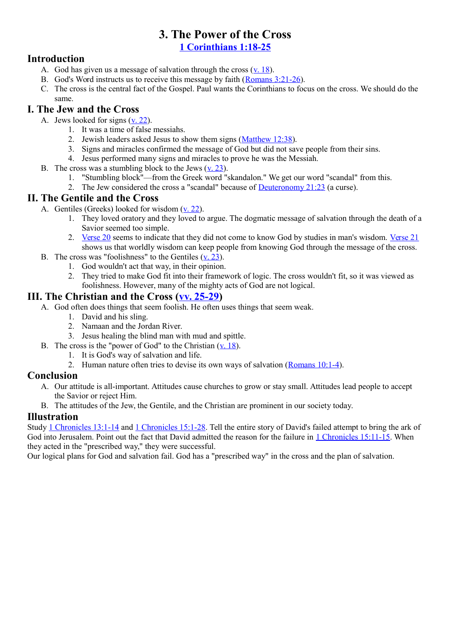# **3. The Power of the Cross**

**[1 Corinthians 1:18-25](http://www.crossbooks.com/verse.asp?ref=1Co+1%3A18-25)**

#### **Introduction**

- A. God has given us a message of salvation through the cross  $(v$ . 18).
- B. God's Word instructs us to receive this message by faith [\(Romans 3:21-26\)](http://www.crossbooks.com/verse.asp?ref=Ro+3%3A21-26).
- C. The cross is the central fact of the Gospel. Paul wants the Corinthians to focus on the cross. We should do the same.

#### **I. The Jew and the Cross**

- A. Jews looked for signs  $(*y*, 22)$ .
	- 1. It was a time of false messiahs.
	- 2. Jewish leaders asked Jesus to show them signs [\(Matthew 12:38\)](http://www.crossbooks.com/verse.asp?ref=Mt+12%3A38).
	- 3. Signs and miracles confirmed the message of God but did not save people from their sins.
	- 4. Jesus performed many signs and miracles to prove he was the Messiah.
- B. The cross was a stumbling block to the Jews [\(v. 23\)](http://www.crossbooks.com/verse.asp?ref=1Co+1%3A23).
	- 1. "Stumbling block"—from the Greek word "skandalon." We get our word "scandal" from this.
	- 2. The Jew considered the cross a "scandal" because of [Deuteronomy 21:23](http://www.crossbooks.com/verse.asp?ref=Dt+21%3A23) (a curse).

#### **II. The Gentile and the Cross**

- A. Gentiles (Greeks) looked for wisdom  $(v, 22)$ .
	- 1. They loved oratory and they loved to argue. The dogmatic message of salvation through the death of a Savior seemed too simple.
	- 2. [Verse 20](http://www.crossbooks.com/verse.asp?ref=1Co+1%3A20) seems to indicate that they did not come to know God by studies in man's wisdom. [Verse 21](http://www.crossbooks.com/verse.asp?ref=1Co+1%3A21) shows us that worldly wisdom can keep people from knowing God through the message of the cross.
- B. The cross was "foolishness" to the Gentiles  $(v, 23)$ .
	- 1. God wouldn't act that way, in their opinion.
	- 2. They tried to make God fit into their framework of logic. The cross wouldn't fit, so it was viewed as foolishness. However, many of the mighty acts of God are not logical.

#### **III. The Christian and the Cross [\(vv. 25-29\)](http://www.crossbooks.com/verse.asp?ref=1Co+1%3A25-29)**

- A. God often does things that seem foolish. He often uses things that seem weak.
	- 1. David and his sling.
	- 2. Namaan and the Jordan River.
	- 3. Jesus healing the blind man with mud and spittle.
- B. The cross is the "power of God" to the Christian [\(v. 18\)](http://www.crossbooks.com/verse.asp?ref=1Co+1%3A18).
	- 1. It is God's way of salvation and life.
	- 2. Human nature often tries to devise its own ways of salvation [\(Romans 10:1-4\)](http://www.crossbooks.com/verse.asp?ref=Ro+10%3A1-4).

#### **Conclusion**

- A. Our attitude is all-important. Attitudes cause churches to grow or stay small. Attitudes lead people to accept the Savior or reject Him.
- B. The attitudes of the Jew, the Gentile, and the Christian are prominent in our society today.

#### **Illustration**

Study [1 Chronicles 13:1-14](http://www.crossbooks.com/verse.asp?ref=1Ch+13%3A1-14) and [1 Chronicles 15:1-28.](http://www.crossbooks.com/verse.asp?ref=1Ch+15%3A1-28) Tell the entire story of David's failed attempt to bring the ark of God into Jerusalem. Point out the fact that David admitted the reason for the failure in [1 Chronicles 15:11-15.](http://www.crossbooks.com/verse.asp?ref=1Ch+15%3A11-15) When they acted in the "prescribed way," they were successful.

Our logical plans for God and salvation fail. God has a "prescribed way" in the cross and the plan of salvation.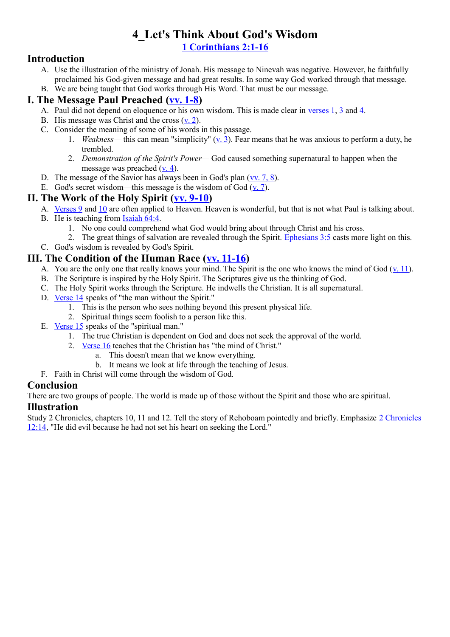#### **4\_Let's Think About God's Wisdom [1 Corinthians 2:1-16](http://www.crossbooks.com/verse.asp?ref=1Co+2%3A1-16)**

#### **Introduction**

- A. Use the illustration of the ministry of Jonah. His message to Ninevah was negative. However, he faithfully proclaimed his God-given message and had great results. In some way God worked through that message.
- B. We are being taught that God works through His Word. That must be our message.

#### **I. The Message Paul Preached [\(vv. 1-8\)](http://www.crossbooks.com/verse.asp?ref=1Co+2%3A1-8)**

- A. Paul did not depend on eloquence or his own wisdom. This is made clear in [verses 1,](http://www.crossbooks.com/verse.asp?ref=1Co+2%3A1) [3](http://www.crossbooks.com/verse.asp?ref=1Co+2%3A3) and [4.](http://www.crossbooks.com/verse.asp?ref=1Co+2%3A4)
- B. His message was Christ and the cross  $(**v**$ . 2).
- C. Consider the meaning of some of his words in this passage.
	- 1. *Weakness—* this can mean "simplicity" [\(v. 3\)](http://www.crossbooks.com/verse.asp?ref=1Co+2%3A3). Fear means that he was anxious to perform a duty, he trembled.
	- 2. *Demonstration of the Spirit's Power—* God caused something supernatural to happen when the message was preached [\(v. 4\)](http://www.crossbooks.com/verse.asp?ref=1Co+2%3A4).
- D. The message of the Savior has always been in God's plan  $(vv. 7, 8)$ .
- E. God's secret wisdom—this message is the wisdom of God  $(v. 7)$ .

#### **II. The Work of the Holy Spirit [\(vv. 9-10\)](http://www.crossbooks.com/verse.asp?ref=1Co+2%3A9-10)**

A. [Verses 9](http://www.crossbooks.com/verse.asp?ref=1Co+2%3A9) and [10](http://www.crossbooks.com/verse.asp?ref=1Co+2%3A10) are often applied to Heaven. Heaven is wonderful, but that is not what Paul is talking about.

- B. He is teaching from [Isaiah 64:4.](http://www.crossbooks.com/verse.asp?ref=Isa+64%3A4)
	- 1. No one could comprehend what God would bring about through Christ and his cross.
- 2. The great things of salvation are revealed through the Spirit. [Ephesians 3:5](http://www.crossbooks.com/verse.asp?ref=Eph+3%3A5) casts more light on this.
- C. God's wisdom is revealed by God's Spirit.

#### **III. The Condition of the Human Race [\(vv. 11-16\)](http://www.crossbooks.com/verse.asp?ref=Eph+3%3A11-16)**

- A. You are the only one that really knows your mind. The Spirit is the one who knows the mind of God  $(v. 11)$  $(v. 11)$ .
- B. The Scripture is inspired by the Holy Spirit. The Scriptures give us the thinking of God.
- C. The Holy Spirit works through the Scripture. He indwells the Christian. It is all supernatural.
- D. [Verse 14](http://www.crossbooks.com/verse.asp?ref=1Co+2%3A14) speaks of "the man without the Spirit."
	- 1. This is the person who sees nothing beyond this present physical life.
	- 2. Spiritual things seem foolish to a person like this.
- E. [Verse 15](http://www.crossbooks.com/verse.asp?ref=1Co+2%3A15) speaks of the "spiritual man."
	- 1. The true Christian is dependent on God and does not seek the approval of the world.
	- 2. [Verse 16](http://www.crossbooks.com/verse.asp?ref=1Co+2%3A16) teaches that the Christian has "the mind of Christ."
		- a. This doesn't mean that we know everything.
		- b. It means we look at life through the teaching of Jesus.
- F. Faith in Christ will come through the wisdom of God.

#### **Conclusion**

There are two groups of people. The world is made up of those without the Spirit and those who are spiritual.

#### **Illustration**

Study 2 Chronicles, chapters 10, 11 and 12. Tell the story of Rehoboam pointedly and briefly. Emphasize [2 Chronicles](http://www.crossbooks.com/verse.asp?ref=2Ch+12%3A14) [12:14,](http://www.crossbooks.com/verse.asp?ref=2Ch+12%3A14) "He did evil because he had not set his heart on seeking the Lord."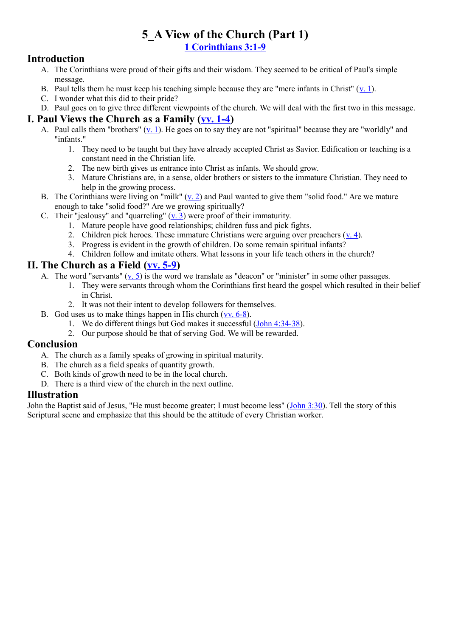### **5\_A View of the Church (Part 1) [1 Corinthians 3:1-9](http://www.crossbooks.com/verse.asp?ref=1Co+3%3A1-9)**

#### **Introduction**

- A. The Corinthians were proud of their gifts and their wisdom. They seemed to be critical of Paul's simple message.
- B. Paul tells them he must keep his teaching simple because they are "mere infants in Christ"  $(v, 1)$ .
- C. I wonder what this did to their pride?
- D. Paul goes on to give three different viewpoints of the church. We will deal with the first two in this message.

#### **I. Paul Views the Church as a Family [\(vv. 1-4\)](http://www.crossbooks.com/verse.asp?ref=1Co+3%3A1-4)**

- A. Paul calls them "brothers" [\(v. 1\)](http://www.crossbooks.com/verse.asp?ref=1Co+3%3A1). He goes on to say they are not "spiritual" because they are "worldly" and "infants."
	- 1. They need to be taught but they have already accepted Christ as Savior. Edification or teaching is a constant need in the Christian life.
	- 2. The new birth gives us entrance into Christ as infants. We should grow.
	- 3. Mature Christians are, in a sense, older brothers or sisters to the immature Christian. They need to help in the growing process.
- B. The Corinthians were living on "milk" [\(v. 2\)](http://www.crossbooks.com/verse.asp?ref=1Co+3%3A2) and Paul wanted to give them "solid food." Are we mature enough to take "solid food?" Are we growing spiritually?
- C. Their "jealousy" and "quarreling"  $(v, 3)$  were proof of their immaturity.
	- 1. Mature people have good relationships; children fuss and pick fights.
	- 2. Children pick heroes. These immature Christians were arguing over preachers  $(y, 4)$ .
	- 3. Progress is evident in the growth of children. Do some remain spiritual infants?
	- 4. Children follow and imitate others. What lessons in your life teach others in the church?

#### **II. The Church as a Field [\(vv. 5-9\)](http://www.crossbooks.com/verse.asp?ref=1Co+3%3A5-9)**

- A. The word "servants"  $(v, 5)$  is the word we translate as "deacon" or "minister" in some other passages.
	- 1. They were servants through whom the Corinthians first heard the gospel which resulted in their belief in Christ.
	- 2. It was not their intent to develop followers for themselves.
- B. God uses us to make things happen in His church [\(vv. 6-8\)](http://www.crossbooks.com/verse.asp?ref=1Co+3%3A6-8).
	- 1. We do different things but God makes it successful [\(John 4:34-38\)](http://www.crossbooks.com/verse.asp?ref=Jn+4%3A34-38).
	- 2. Our purpose should be that of serving God. We will be rewarded.

#### **Conclusion**

- A. The church as a family speaks of growing in spiritual maturity.
- B. The church as a field speaks of quantity growth.
- C. Both kinds of growth need to be in the local church.
- D. There is a third view of the church in the next outline.

#### **Illustration**

John the Baptist said of Jesus, "He must become greater; I must become less" [\(John 3:30\)](http://www.crossbooks.com/verse.asp?ref=Jn+3%3A30). Tell the story of this Scriptural scene and emphasize that this should be the attitude of every Christian worker.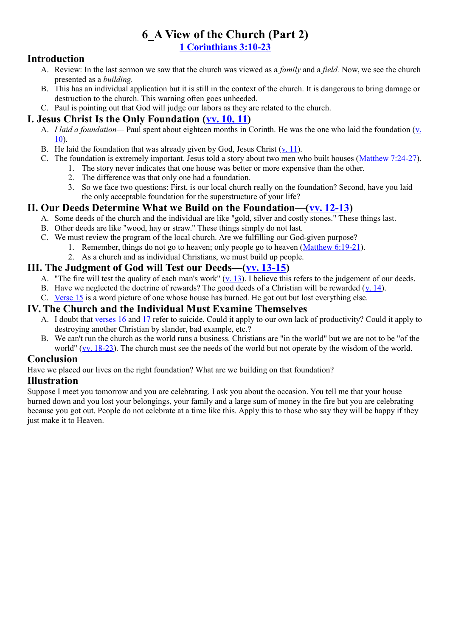#### **6\_A View of the Church (Part 2) [1 Corinthians 3:10-23](http://www.crossbooks.com/verse.asp?ref=1Co+3%3A10-23)**

#### **Introduction**

- A. Review: In the last sermon we saw that the church was viewed as a *family* and a *field.* Now, we see the church presented as a *building.*
- B. This has an individual application but it is still in the context of the church. It is dangerous to bring damage or destruction to the church. This warning often goes unheeded.
- C. Paul is pointing out that God will judge our labors as they are related to the church.

#### **I. Jesus Christ Is the Only Foundation [\(vv. 10, 11\)](http://www.crossbooks.com/verse.asp?ref=1Co+3%3A10-11)**

- A. *I laid a foundation—* Paul spent about eighteen months in Corinth. He was the one who laid the foundation [\(v.](http://www.crossbooks.com/verse.asp?ref=1Co+3%3A10) [10\)](http://www.crossbooks.com/verse.asp?ref=1Co+3%3A10).
- B. He laid the foundation that was already given by God, Jesus Christ  $(v, 11)$ .
- C. The foundation is extremely important. Jesus told a story about two men who built houses [\(Matthew 7:24-27\)](http://www.crossbooks.com/verse.asp?ref=Mt+7%3A24-27).
	- 1. The story never indicates that one house was better or more expensive than the other.
		- 2. The difference was that only one had a foundation.
		- 3. So we face two questions: First, is our local church really on the foundation? Second, have you laid the only acceptable foundation for the superstructure of your life?

#### **II. Our Deeds Determine What we Build on the Foundation—[\(vv. 12-13\)](http://www.crossbooks.com/verse.asp?ref=Mt+7%3A12-13)**

- A. Some deeds of the church and the individual are like "gold, silver and costly stones." These things last.
- B. Other deeds are like "wood, hay or straw." These things simply do not last.
- C. We must review the program of the local church. Are we fulfilling our God-given purpose?
	- 1. Remember, things do not go to heaven; only people go to heaven [\(Matthew 6:19-21\)](http://www.crossbooks.com/verse.asp?ref=Mt+6%3A19-21).
	- 2. As a church and as individual Christians, we must build up people.

#### **III. The Judgment of God will Test our Deeds—[\(vv. 13-15\)](http://www.crossbooks.com/verse.asp?ref=Mt+6%3A13-15)**

- A. "The fire will test the quality of each man's work"  $(v, 13)$ . I believe this refers to the judgement of our deeds.
- B. Have we neglected the doctrine of rewards? The good deeds of a Christian will be rewarded [\(v. 14\)](http://www.crossbooks.com/verse.asp?ref=1Co+3%3A14).
- C. [Verse 15](http://www.crossbooks.com/verse.asp?ref=1Co+3%3A15) is a word picture of one whose house has burned. He got out but lost everything else.

#### **IV. The Church and the Individual Must Examine Themselves**

- A. I doubt that [verses 16](http://www.crossbooks.com/verse.asp?ref=1Co+3%3A16) and [17](http://www.crossbooks.com/verse.asp?ref=1Co+3%3A17) refer to suicide. Could it apply to our own lack of productivity? Could it apply to destroying another Christian by slander, bad example, etc.?
- B. We can't run the church as the world runs a business. Christians are "in the world" but we are not to be "of the world" [\(vv. 18-23\)](http://www.crossbooks.com/verse.asp?ref=1Co+3%3A18-23). The church must see the needs of the world but not operate by the wisdom of the world.

#### **Conclusion**

Have we placed our lives on the right foundation? What are we building on that foundation?

#### **Illustration**

Suppose I meet you tomorrow and you are celebrating. I ask you about the occasion. You tell me that your house burned down and you lost your belongings, your family and a large sum of money in the fire but you are celebrating because you got out. People do not celebrate at a time like this. Apply this to those who say they will be happy if they just make it to Heaven.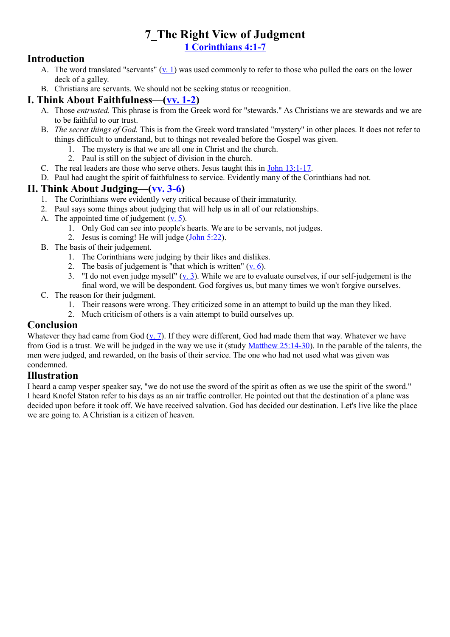## **7\_The Right View of Judgment [1 Corinthians 4:1-7](http://www.crossbooks.com/verse.asp?ref=1Co+4%3A1-7)**

#### **Introduction**

- A. The word translated "servants"  $(\underline{v}.\underline{1})$  was used commonly to refer to those who pulled the oars on the lower deck of a galley.
- B. Christians are servants. We should not be seeking status or recognition.

#### **I. Think About Faithfulness—[\(vv. 1-2\)](http://www.crossbooks.com/verse.asp?ref=1Co+4%3A1-2)**

- A. Those *entrusted.* This phrase is from the Greek word for "stewards." As Christians we are stewards and we are to be faithful to our trust.
- B. *The secret things of God.* This is from the Greek word translated "mystery" in other places. It does not refer to things difficult to understand, but to things not revealed before the Gospel was given.
	- 1. The mystery is that we are all one in Christ and the church.
	- 2. Paul is still on the subject of division in the church.
- C. The real leaders are those who serve others. Jesus taught this in [John 13:1-17.](http://www.crossbooks.com/verse.asp?ref=Jn+13%3A1-17)
- D. Paul had caught the spirit of faithfulness to service. Evidently many of the Corinthians had not.

#### **II. Think About Judging—[\(vv. 3-6\)](http://www.crossbooks.com/verse.asp?ref=1Co+4%3A3-6)**

- 1. The Corinthians were evidently very critical because of their immaturity.
- 2. Paul says some things about judging that will help us in all of our relationships.
- A. The appointed time of judgement [\(v. 5\)](http://www.crossbooks.com/verse.asp?ref=1Co+4%3A5).
	- 1. Only God can see into people's hearts. We are to be servants, not judges.
	- 2. Jesus is coming! He will judge [\(John 5:22\)](http://www.crossbooks.com/verse.asp?ref=Jn+5%3A22).
- B. The basis of their judgement.
	- 1. The Corinthians were judging by their likes and dislikes.
	- 2. The basis of judgement is "that which is written"  $(v, 6)$ .
	- 3. "I do not even judge myself"  $(v, 3)$ . While we are to evaluate ourselves, if our self-judgement is the final word, we will be despondent. God forgives us, but many times we won't forgive ourselves.
- C. The reason for their judgment.
	- 1. Their reasons were wrong. They criticized some in an attempt to build up the man they liked.
	- 2. Much criticism of others is a vain attempt to build ourselves up.

#### **Conclusion**

Whatever they had came from God  $(v. 7)$ . If they were different, God had made them that way. Whatever we have from God is a trust. We will be judged in the way we use it (study [Matthew 25:14-30\)](http://www.crossbooks.com/verse.asp?ref=Mt+25%3A14-30). In the parable of the talents, the men were judged, and rewarded, on the basis of their service. The one who had not used what was given was condemned.

#### **Illustration**

I heard a camp vesper speaker say, "we do not use the sword of the spirit as often as we use the spirit of the sword." I heard Knofel Staton refer to his days as an air traffic controller. He pointed out that the destination of a plane was decided upon before it took off. We have received salvation. God has decided our destination. Let's live like the place we are going to. A Christian is a citizen of heaven.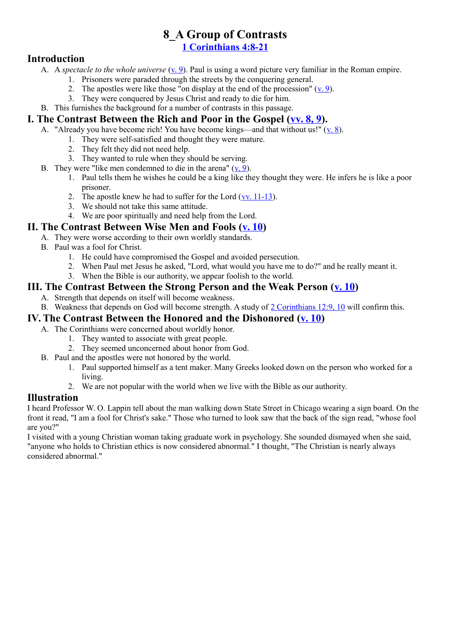## **8\_A Group of Contrasts**

**[1 Corinthians 4:8-21](http://www.crossbooks.com/verse.asp?ref=1Co+4%3A8-21)**

#### **Introduction**

- A. A *spectacle to the whole universe* (<u>v. 9</u>). Paul is using a word picture very familiar in the Roman empire.
	- 1. Prisoners were paraded through the streets by the conquering general.
	- 2. The apostles were like those "on display at the end of the procession"  $(\underline{v}, 9)$ .
	- 3. They were conquered by Jesus Christ and ready to die for him.
- B. This furnishes the background for a number of contrasts in this passage.

#### **I. The Contrast Between the Rich and Poor in the Gospel [\(vv. 8, 9\)](http://www.crossbooks.com/verse.asp?ref=1Co+4%3A8-9).**

- A. "Already you have become rich! You have become kings—and that without us!" [\(v. 8\)](http://www.crossbooks.com/verse.asp?ref=1Co+4%3A8).
	- 1. They were self-satisfied and thought they were mature.
	- 2. They felt they did not need help.
	- 3. They wanted to rule when they should be serving.
- B. They were "like men condemned to die in the arena" [\(v. 9\)](http://www.crossbooks.com/verse.asp?ref=1Co+4%3A9).
	- 1. Paul tells them he wishes he could be a king like they thought they were. He infers he is like a poor prisoner.
	- 2. The apostle knew he had to suffer for the Lord [\(vv. 11-13\)](http://www.crossbooks.com/verse.asp?ref=1Co+4%3A11-13).
	- 3. We should not take this same attitude.
	- 4. We are poor spiritually and need help from the Lord.

#### **II. The Contrast Between Wise Men and Fools [\(v. 10\)](http://www.crossbooks.com/verse.asp?ref=1Co+4%3A10)**

- A. They were worse according to their own worldly standards.
- B. Paul was a fool for Christ.
	- 1. He could have compromised the Gospel and avoided persecution.
	- 2. When Paul met Jesus he asked, "Lord, what would you have me to do?" and he really meant it.
	- 3. When the Bible is our authority, we appear foolish to the world.

#### **III. The Contrast Between the Strong Person and the Weak Person [\(v. 10\)](http://www.crossbooks.com/verse.asp?ref=1Co+4%3A10)**

- A. Strength that depends on itself will become weakness.
- B. Weakness that depends on God will become strength. A study of [2 Corinthians 12:9, 10](http://www.crossbooks.com/verse.asp?ref=2Co+12%3A9-10) will confirm this.

#### **IV. The Contrast Between the Honored and the Dishonored [\(v. 10\)](http://www.crossbooks.com/verse.asp?ref=2Co+12%3A10)**

- A. The Corinthians were concerned about worldly honor.
	- 1. They wanted to associate with great people.
	- 2. They seemed unconcerned about honor from God.
- B. Paul and the apostles were not honored by the world.
	- 1. Paul supported himself as a tent maker. Many Greeks looked down on the person who worked for a living.
	- 2. We are not popular with the world when we live with the Bible as our authority.

#### **Illustration**

I heard Professor W. O. Lappin tell about the man walking down State Street in Chicago wearing a sign board. On the front it read, "I am a fool for Christ's sake." Those who turned to look saw that the back of the sign read, "whose fool are you?"

I visited with a young Christian woman taking graduate work in psychology. She sounded dismayed when she said, "anyone who holds to Christian ethics is now considered abnormal." I thought, "The Christian is nearly always considered abnormal."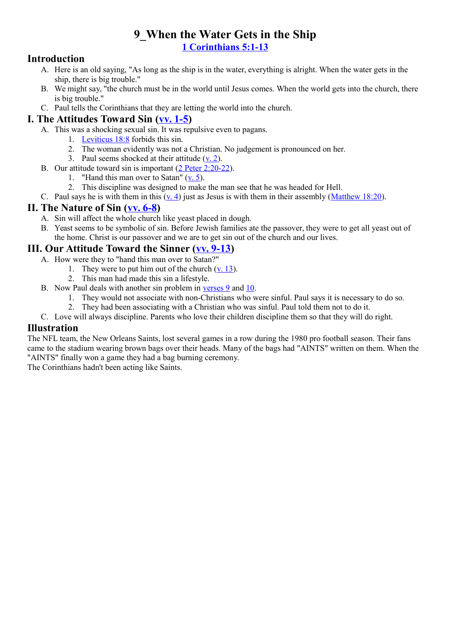## **9\_When the Water Gets in the Ship [1 Corinthians 5:1-13](http://www.crossbooks.com/verse.asp?ref=1Co+5%3A1-13)**

#### **Introduction**

- A. Here is an old saying, "As long as the ship is in the water, everything is alright. When the water gets in the ship, there is big trouble."
- B. We might say, "the church must be in the world until Jesus comes. When the world gets into the church, there is big trouble."
- C. Paul tells the Corinthians that they are letting the world into the church.

#### **I. The Attitudes Toward Sin [\(vv. 1-5\)](http://www.crossbooks.com/verse.asp?ref=1Co+5%3A1-5)**

- A. This was a shocking sexual sin. It was repulsive even to pagans.
	- 1. [Leviticus 18:8](http://www.crossbooks.com/verse.asp?ref=Lev+18%3A8) forbids this sin.
	- 2. The woman evidently was not a Christian. No judgement is pronounced on her.
	- 3. Paul seems shocked at their attitude  $(**v**$ . 2).
- B. Our attitude toward sin is important [\(2 Peter 2:20-22\)](http://www.crossbooks.com/verse.asp?ref=2Pe+2%3A20-22).
	- 1. "Hand this man over to Satan" [\(v. 5\)](http://www.crossbooks.com/verse.asp?ref=1Co+5%3A5).
	- 2. This discipline was designed to make the man see that he was headed for Hell.
- C. Paul says he is with them in this [\(v. 4\)](http://www.crossbooks.com/verse.asp?ref=1Co+5%3A4) just as Jesus is with them in their assembly [\(Matthew 18:20\)](http://www.crossbooks.com/verse.asp?ref=Mt+18%3A20).

#### **II. The Nature of Sin [\(vv. 6-8\)](http://www.crossbooks.com/verse.asp?ref=1Co+5%3A6-8)**

- A. Sin will affect the whole church like yeast placed in dough.
- B. Yeast seems to be symbolic of sin. Before Jewish families ate the passover, they were to get all yeast out of the home. Christ is our passover and we are to get sin out of the church and our lives.

#### **III. Our Attitude Toward the Sinner [\(vv. 9-13\)](http://www.crossbooks.com/verse.asp?ref=1Co+5%3A9-13)**

- A. How were they to "hand this man over to Satan?"
	- 1. They were to put him out of the church  $(y. 13)$ .
	- 2. This man had made this sin a lifestyle.
- B. Now Paul deals with another sin problem in [verses 9](http://www.crossbooks.com/verse.asp?ref=1Co+5%3A9) and [10.](http://www.crossbooks.com/verse.asp?ref=1Co+5%3A10)
	- 1. They would not associate with non-Christians who were sinful. Paul says it is necessary to do so.
	- 2. They had been associating with a Christian who was sinful. Paul told them not to do it.
- C. Love will always discipline. Parents who love their children discipline them so that they will do right.

#### **Illustration**

The NFL team, the New Orleans Saints, lost several games in a row during the 1980 pro football season. Their fans came to the stadium wearing brown bags over their heads. Many of the bags had "AINTS" written on them. When the "AINTS" finally won a game they had a bag burning ceremony.

The Corinthians hadn't been acting like Saints.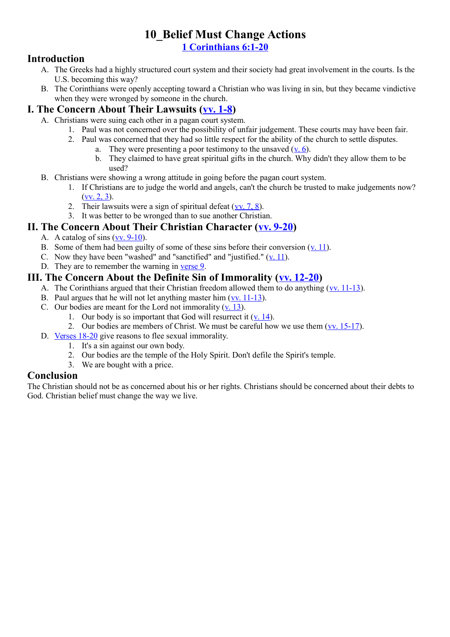#### **10\_Belief Must Change Actions [1 Corinthians 6:1-20](http://www.crossbooks.com/verse.asp?ref=1Co+6%3A1-20)**

#### **Introduction**

- A. The Greeks had a highly structured court system and their society had great involvement in the courts. Is the U.S. becoming this way?
- B. The Corinthians were openly accepting toward a Christian who was living in sin, but they became vindictive when they were wronged by someone in the church.

#### **I. The Concern About Their Lawsuits [\(vv. 1-8\)](http://www.crossbooks.com/verse.asp?ref=1Co+6%3A1-8)**

- A. Christians were suing each other in a pagan court system.
	- 1. Paul was not concerned over the possibility of unfair judgement. These courts may have been fair.
	- 2. Paul was concerned that they had so little respect for the ability of the church to settle disputes.
		- a. They were presenting a poor testimony to the unsaved  $(v, 6)$ .
			- b. They claimed to have great spiritual gifts in the church. Why didn't they allow them to be used?
- B. Christians were showing a wrong attitude in going before the pagan court system.
	- 1. If Christians are to judge the world and angels, can't the church be trusted to make judgements now?  $(vv, 2, 3)$ .
	- 2. Their lawsuits were a sign of spiritual defeat  $(vv. 7, 8)$  $(vv. 7, 8)$ .
	- 3. It was better to be wronged than to sue another Christian.

#### **II. The Concern About Their Christian Character [\(vv. 9-20\)](http://www.crossbooks.com/verse.asp?ref=1Co+6%3A9-20)**

- A. A catalog of sins [\(vv. 9-10\)](http://www.crossbooks.com/verse.asp?ref=1Co+6%3A9-10).
- B. Some of them had been guilty of some of these sins before their conversion  $(v. 11)$ .
- C. Now they have been "washed" and "sanctified" and "justified."  $(v, 11)$ .
- D. They are to remember the warning in [verse 9.](http://www.crossbooks.com/verse.asp?ref=1Co+6%3A9)

#### **III. The Concern About the Definite Sin of Immorality [\(vv. 12-20\)](http://www.crossbooks.com/verse.asp?ref=1Co+6%3A12-20)**

- A. The Corinthians argued that their Christian freedom allowed them to do anything [\(vv. 11-13\)](http://www.crossbooks.com/verse.asp?ref=1Co+6%3A11-13).
- B. Paul argues that he will not let anything master him [\(vv. 11-13\)](http://www.crossbooks.com/verse.asp?ref=1Co+6%3A11-13).
- C. Our bodies are meant for the Lord not immorality  $(v. 13)$ .
	- 1. Our body is so important that God will resurrect it  $(v, 14)$ .
	- 2. Our bodies are members of Christ. We must be careful how we use them  $(vv. 15-17)$ .
- D. [Verses 18-20](http://www.crossbooks.com/verse.asp?ref=1Co+6%3A18-20) give reasons to flee sexual immorality.
	- 1. It's a sin against our own body.
	- 2. Our bodies are the temple of the Holy Spirit. Don't defile the Spirit's temple.
	- 3. We are bought with a price.

#### **Conclusion**

The Christian should not be as concerned about his or her rights. Christians should be concerned about their debts to God. Christian belief must change the way we live.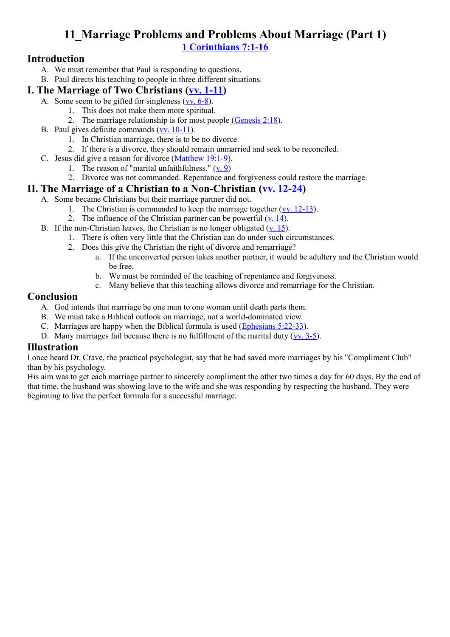## **11\_Marriage Problems and Problems About Marriage (Part 1) [1 Corinthians 7:1-16](http://www.crossbooks.com/verse.asp?ref=1Co+7%3A1-16)**

#### **Introduction**

- A. We must remember that Paul is responding to questions.
- B. Paul directs his teaching to people in three different situations.

#### **I. The Marriage of Two Christians [\(vv. 1-11\)](http://www.crossbooks.com/verse.asp?ref=1Co+7%3A1-11)**

- A. Some seem to be gifted for singleness [\(vv. 6-8\)](http://www.crossbooks.com/verse.asp?ref=1Co+7%3A6-8).
	- 1. This does not make them more spiritual.
	- 2. The marriage relationship is for most people [\(Genesis 2:18\)](http://www.crossbooks.com/verse.asp?ref=Ge+2%3A18).
- B. Paul gives definite commands [\(vv. 10-11\)](http://www.crossbooks.com/verse.asp?ref=1Co+7%3A10-11).
	- 1. In Christian marriage, there is to be no divorce.
	- 2. If there is a divorce, they should remain unmarried and seek to be reconciled.
- C. Jesus did give a reason for divorce [\(Matthew 19:1-9\)](http://www.crossbooks.com/verse.asp?ref=Mt+19%3A1-9).
	- 1. The reason of "marital unfaithfulness."  $(v, 9)$ 
		- 2. Divorce was not commanded. Repentance and forgiveness could restore the marriage.

#### **II. The Marriage of a Christian to a Non-Christian [\(vv. 12-24\)](http://www.crossbooks.com/verse.asp?ref=1Co+7%3A12-24)**

- A. Some became Christians but their marriage partner did not.
	- 1. The Christian is commanded to keep the marriage together [\(vv. 12-13\)](http://www.crossbooks.com/verse.asp?ref=1Co+7%3A12-13).
	- 2. The influence of the Christian partner can be powerful  $(v. 14)$ .
- B. If the non-Christian leaves, the Christian is no longer obligated  $(v, 15)$ .
	- 1. There is often very little that the Christian can do under such circumstances.
	- 2. Does this give the Christian the right of divorce and remarriage?
		- a. If the unconverted person takes another partner, it would be adultery and the Christian would be free.
		- b. We must be reminded of the teaching of repentance and forgiveness.
		- c. Many believe that this teaching allows divorce and remarriage for the Christian.

#### **Conclusion**

- A. God intends that marriage be one man to one woman until death parts them.
- B. We must take a Biblical outlook on marriage, not a world-dominated view.
- C. Marriages are happy when the Biblical formula is used [\(Ephesians 5:22-33\)](http://www.crossbooks.com/verse.asp?ref=Eph+5%3A22-33).
- D. Many marriages fail because there is no fulfillment of the marital duty [\(vv. 3-5\)](http://www.crossbooks.com/verse.asp?ref=1Co+7%3A3-5).

#### **Illustration**

I once heard Dr. Crave, the practical psychologist, say that he had saved more marriages by his "Compliment Club" than by his psychology.

His aim was to get each marriage partner to sincerely compliment the other two times a day for 60 days. By the end of that time, the husband was showing love to the wife and she was responding by respecting the husband. They were beginning to live the perfect formula for a successful marriage.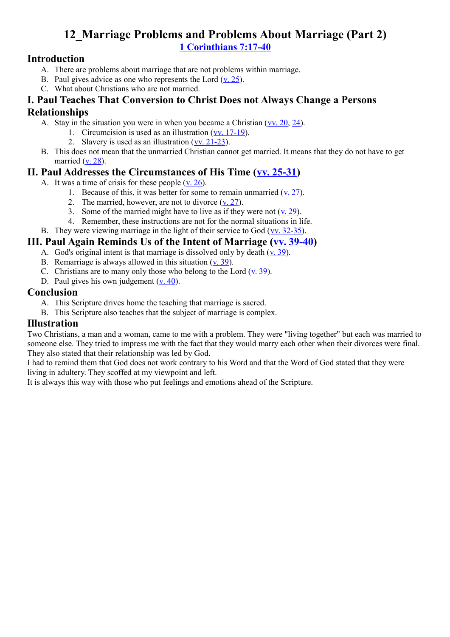## **12\_Marriage Problems and Problems About Marriage (Part 2) [1 Corinthians 7:17-40](http://www.crossbooks.com/verse.asp?ref=1Co+7%3A17-40)**

#### **Introduction**

- A. There are problems about marriage that are not problems within marriage.
- B. Paul gives advice as one who represents the Lord [\(v. 25\)](http://www.crossbooks.com/verse.asp?ref=1Co+7%3A25).
- C. What about Christians who are not married.

#### **I. Paul Teaches That Conversion to Christ Does not Always Change a Persons Relationships**

- A. Stay in the situation you were in when you became a Christian [\(vv. 20,](http://www.crossbooks.com/verse.asp?ref=1Co+7%3A20) [24\)](http://www.crossbooks.com/verse.asp?ref=1Co+7%3A24).
	- 1. Circumcision is used as an illustration [\(vv. 17-19\)](http://www.crossbooks.com/verse.asp?ref=1Co+7%3A17-19).
	- 2. Slavery is used as an illustration [\(vv. 21-23\)](http://www.crossbooks.com/verse.asp?ref=1Co+7%3A21-23).
- B. This does not mean that the unmarried Christian cannot get married. It means that they do not have to get married  $(v, 28)$ .

#### **II. Paul Addresses the Circumstances of His Time [\(vv. 25-31\)](http://www.crossbooks.com/verse.asp?ref=1Co+7%3A25-31)**

- A. It was a time of crisis for these people [\(v. 26\)](http://www.crossbooks.com/verse.asp?ref=1Co+7%3A26).
	- 1. Because of this, it was better for some to remain unmarried  $(v, 27)$ .
	- 2. The married, however, are not to divorce [\(v. 27\)](http://www.crossbooks.com/verse.asp?ref=1Co+7%3A27).
	- 3. Some of the married might have to live as if they were not  $(v. 29)$ .
	- 4. Remember, these instructions are not for the normal situations in life.
- B. They were viewing marriage in the light of their service to God  $(vv. 32-35)$ .

#### **III. Paul Again Reminds Us of the Intent of Marriage [\(vv. 39-40\)](http://www.crossbooks.com/verse.asp?ref=1Co+7%3A39-40)**

- A. God's original intent is that marriage is dissolved only by death  $(v. 39)$ .
- B. Remarriage is always allowed in this situation [\(v. 39\)](http://www.crossbooks.com/verse.asp?ref=1Co+7%3A39).
- C. Christians are to many only those who belong to the Lord [\(v. 39\)](http://www.crossbooks.com/verse.asp?ref=1Co+7%3A39).
- D. Paul gives his own judgement (y. 40).

#### **Conclusion**

- A. This Scripture drives home the teaching that marriage is sacred.
- B. This Scripture also teaches that the subject of marriage is complex.

#### **Illustration**

Two Christians, a man and a woman, came to me with a problem. They were "living together" but each was married to someone else. They tried to impress me with the fact that they would marry each other when their divorces were final. They also stated that their relationship was led by God.

I had to remind them that God does not work contrary to his Word and that the Word of God stated that they were living in adultery. They scoffed at my viewpoint and left.

It is always this way with those who put feelings and emotions ahead of the Scripture.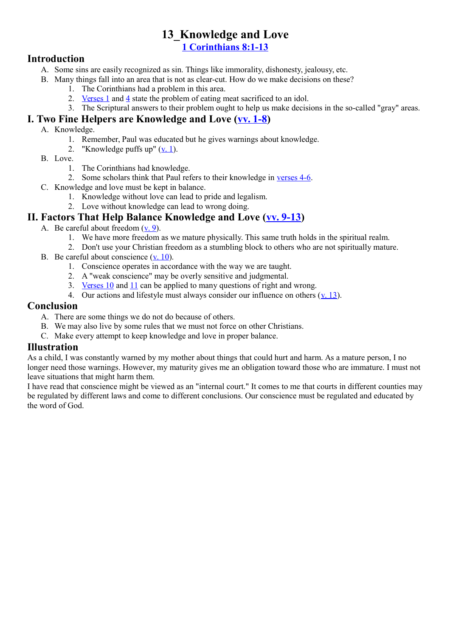## **13\_Knowledge and Love**

**[1 Corinthians 8:1-13](http://www.crossbooks.com/verse.asp?ref=1Co+8%3A1-13)**

#### **Introduction**

- A. Some sins are easily recognized as sin. Things like immorality, dishonesty, jealousy, etc.
- B. Many things fall into an area that is not as clear-cut. How do we make decisions on these?
	- 1. The Corinthians had a problem in this area.
	- 2. Verses  $1$  and  $4$  state the problem of eating meat sacrificed to an idol.
	- 3. The Scriptural answers to their problem ought to help us make decisions in the so-called "gray" areas.

#### **I. Two Fine Helpers are Knowledge and Love [\(vv. 1-8\)](http://www.crossbooks.com/verse.asp?ref=1Co+8%3A1-8)**

#### A. Knowledge.

- 1. Remember, Paul was educated but he gives warnings about knowledge.
- 2. "Knowledge puffs up"  $(y, 1)$ .
- B. Love.
	- 1. The Corinthians had knowledge.
	- 2. Some scholars think that Paul refers to their knowledge in [verses 4-6.](http://www.crossbooks.com/verse.asp?ref=1Co+8%3A4-6)
- C. Knowledge and love must be kept in balance.
	- 1. Knowledge without love can lead to pride and legalism.
	- 2. Love without knowledge can lead to wrong doing.

#### **II. Factors That Help Balance Knowledge and Love [\(vv. 9-13\)](http://www.crossbooks.com/verse.asp?ref=1Co+8%3A9-13)**

- A. Be careful about freedom [\(v. 9\)](http://www.crossbooks.com/verse.asp?ref=1Co+8%3A9).
	- 1. We have more freedom as we mature physically. This same truth holds in the spiritual realm.
	- 2. Don't use your Christian freedom as a stumbling block to others who are not spiritually mature.
- B. Be careful about conscience [\(v. 10\)](http://www.crossbooks.com/verse.asp?ref=1Co+8%3A10).
	- 1. Conscience operates in accordance with the way we are taught.
	- 2. A "weak conscience" may be overly sensitive and judgmental.
	- 3. [Verses 10](http://www.crossbooks.com/verse.asp?ref=1Co+8%3A10) and [11](http://www.crossbooks.com/verse.asp?ref=1Co+8%3A11) can be applied to many questions of right and wrong.
	- 4. Our actions and lifestyle must always consider our influence on others ([v. 13\)](http://www.crossbooks.com/verse.asp?ref=1Co+8%3A13).

#### **Conclusion**

- A. There are some things we do not do because of others.
- B. We may also live by some rules that we must not force on other Christians.
- C. Make every attempt to keep knowledge and love in proper balance.

#### **Illustration**

As a child, I was constantly warned by my mother about things that could hurt and harm. As a mature person, I no longer need those warnings. However, my maturity gives me an obligation toward those who are immature. I must not leave situations that might harm them.

I have read that conscience might be viewed as an "internal court." It comes to me that courts in different counties may be regulated by different laws and come to different conclusions. Our conscience must be regulated and educated by the word of God.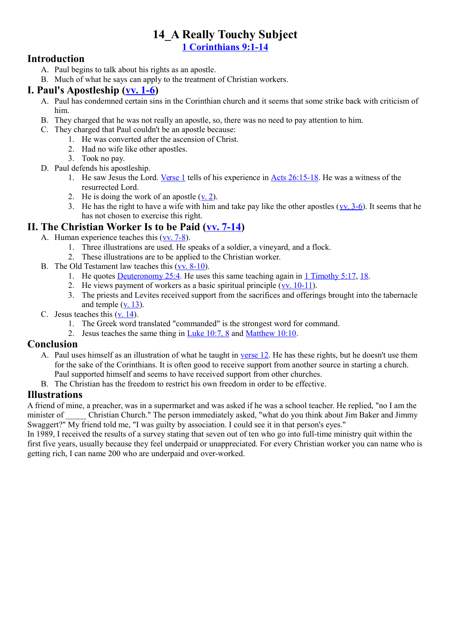# **14\_A Really Touchy Subject**

**[1 Corinthians 9:1-14](http://www.crossbooks.com/verse.asp?ref=1Co+9%3A1-14)**

#### **Introduction**

- A. Paul begins to talk about his rights as an apostle.
- B. Much of what he says can apply to the treatment of Christian workers.

#### **I. Paul's Apostleship [\(vv. 1-6\)](http://www.crossbooks.com/verse.asp?ref=1Co+9%3A1-6)**

- A. Paul has condemned certain sins in the Corinthian church and it seems that some strike back with criticism of him.
- B. They charged that he was not really an apostle, so, there was no need to pay attention to him.
- C. They charged that Paul couldn't be an apostle because:
	- 1. He was converted after the ascension of Christ.
	- 2. Had no wife like other apostles.
	- 3. Took no pay.
- D. Paul defends his apostleship.
	- 1. He saw Jesus the Lord. [Verse 1](http://www.crossbooks.com/verse.asp?ref=1Co+9%3A1) tells of his experience in [Acts 26:15-18.](http://www.crossbooks.com/verse.asp?ref=Ac+26%3A15-18) He was a witness of the resurrected Lord.
	- 2. He is doing the work of an apostle [\(v. 2\)](http://www.crossbooks.com/verse.asp?ref=1Co+9%3A2).
	- 3. He has the right to have a wife with him and take pay like the other apostles [\(vv. 3-6\)](http://www.crossbooks.com/verse.asp?ref=1Co+9%3A3-6). It seems that he has not chosen to exercise this right.

#### **II. The Christian Worker Is to be Paid [\(vv. 7-14\)](http://www.crossbooks.com/verse.asp?ref=1Co+9%3A7-14)**

- A. Human experience teaches this [\(vv. 7-8\)](http://www.crossbooks.com/verse.asp?ref=1Co+9%3A7-8).
	- 1. Three illustrations are used. He speaks of a soldier, a vineyard, and a flock.
	- 2. These illustrations are to be applied to the Christian worker.
- B. The Old Testament law teaches this [\(vv. 8-10\)](http://www.crossbooks.com/verse.asp?ref=1Co+9%3A8-10).
	- 1. He quotes [Deuteronomy 25:4.](http://www.crossbooks.com/verse.asp?ref=Dt+25%3A4) He uses this same teaching again in [1 Timothy 5:17,](http://www.crossbooks.com/verse.asp?ref=1Ti+5%3A17) [18.](http://www.crossbooks.com/verse.asp?ref=1Ti+5%3A18)
	- 2. He views payment of workers as a basic spiritual principle  $(vv. 10-11)$ .
	- 3. The priests and Levites received support from the sacrifices and offerings brought into the tabernacle and temple  $(v$ . 13).
- C. Jesus teaches this [\(v. 14\)](http://www.crossbooks.com/verse.asp?ref=1Co+9%3A14).
	- 1. The Greek word translated "commanded" is the strongest word for command.
	- 2. Jesus teaches the same thing in [Luke 10:7, 8](http://www.crossbooks.com/verse.asp?ref=Lk+10%3A7-8) and [Matthew 10:10.](http://www.crossbooks.com/verse.asp?ref=Mt+10%3A10)

#### **Conclusion**

- A. Paul uses himself as an illustration of what he taught in [verse 12.](http://www.crossbooks.com/verse.asp?ref=1Co+9%3A12) He has these rights, but he doesn't use them for the sake of the Corinthians. It is often good to receive support from another source in starting a church.
- Paul supported himself and seems to have received support from other churches. B. The Christian has the freedom to restrict his own freedom in order to be effective.

#### **Illustrations**

A friend of mine, a preacher, was in a supermarket and was asked if he was a school teacher. He replied, "no I am the minister of Christian Church." The person immediately asked, "what do you think about Jim Baker and Jimmy Swaggert?" My friend told me, "I was guilty by association. I could see it in that person's eyes."

In 1989, I received the results of a survey stating that seven out of ten who go into full-time ministry quit within the first five years, usually because they feel underpaid or unappreciated. For every Christian worker you can name who is getting rich, I can name 200 who are underpaid and over-worked.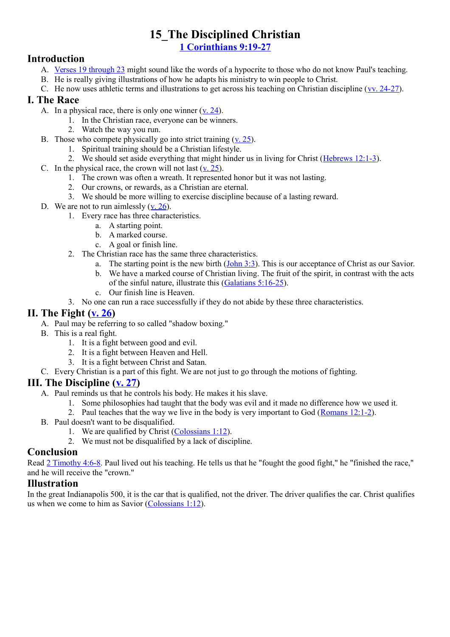## **15\_The Disciplined Christian**

**[1 Corinthians 9:19-27](http://www.crossbooks.com/verse.asp?ref=1Co+9%3A19-27)**

#### **Introduction**

- A. [Verses 19 through 23](http://www.crossbooks.com/verse.asp?ref=1Co+9%3A19-23) might sound like the words of a hypocrite to those who do not know Paul's teaching.
- B. He is really giving illustrations of how he adapts his ministry to win people to Christ.
- C. He now uses athletic terms and illustrations to get across his teaching on Christian discipline [\(vv. 24-27\)](http://www.crossbooks.com/verse.asp?ref=1Co+9%3A24-27).

#### **I. The Race**

- A. In a physical race, there is only one winner  $(v, 24)$ .
	- 1. In the Christian race, everyone can be winners.
	- 2. Watch the way you run.
- B. Those who compete physically go into strict training  $(v. 25)$ .
	- 1. Spiritual training should be a Christian lifestyle.
	- 2. We should set aside everything that might hinder us in living for Christ [\(Hebrews 12:1-3\)](http://www.crossbooks.com/verse.asp?ref=Heb+12%3A1-3).
- C. In the physical race, the crown will not last  $(v, 25)$ .
	- 1. The crown was often a wreath. It represented honor but it was not lasting.
	- 2. Our crowns, or rewards, as a Christian are eternal.
	- 3. We should be more willing to exercise discipline because of a lasting reward.
- D. We are not to run aimlessly (y. 26).
	- 1. Every race has three characteristics.
		- a. A starting point.
		- b. A marked course.
		- c. A goal or finish line.
	- 2. The Christian race has the same three characteristics.
		- a. The starting point is the new birth  $(John 3:3)$ . This is our acceptance of Christ as our Savior.
		- b. We have a marked course of Christian living. The fruit of the spirit, in contrast with the acts of the sinful nature, illustrate this [\(Galatians 5:16-25\)](http://www.crossbooks.com/verse.asp?ref=Gal+5%3A16-25).
		- c. Our finish line is Heaven.
	- 3. No one can run a race successfully if they do not abide by these three characteristics.

#### **II. The Fight [\(v. 26\)](http://www.crossbooks.com/verse.asp?ref=1Co+9%3A26)**

- A. Paul may be referring to so called "shadow boxing."
- B. This is a real fight.
	- 1. It is a fight between good and evil.
	- 2. It is a fight between Heaven and Hell.
	- 3. It is a fight between Christ and Satan.
- C. Every Christian is a part of this fight. We are not just to go through the motions of fighting.

#### **III. The Discipline [\(v. 27\)](http://www.crossbooks.com/verse.asp?ref=1Co+9%3A27)**

- A. Paul reminds us that he controls his body. He makes it his slave.
	- 1. Some philosophies had taught that the body was evil and it made no difference how we used it.
	- 2. Paul teaches that the way we live in the body is very important to God [\(Romans 12:1-2\)](http://www.crossbooks.com/verse.asp?ref=Ro+12%3A1-2).
- B. Paul doesn't want to be disqualified.
	- 1. We are qualified by Christ [\(Colossians 1:12\)](http://www.crossbooks.com/verse.asp?ref=Col+1%3A12).
	- 2. We must not be disqualified by a lack of discipline.

#### **Conclusion**

Read [2 Timothy 4:6-8.](http://www.crossbooks.com/verse.asp?ref=2Ti+4%3A6-8) Paul lived out his teaching. He tells us that he "fought the good fight," he "finished the race," and he will receive the "crown."

#### **Illustration**

In the great Indianapolis 500, it is the car that is qualified, not the driver. The driver qualifies the car. Christ qualifies us when we come to him as Savior [\(Colossians 1:12\)](http://www.crossbooks.com/verse.asp?ref=Col+1%3A12).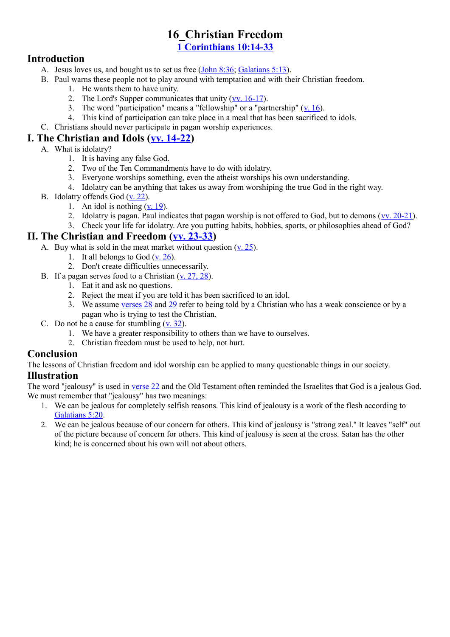#### **16\_Christian Freedom [1 Corinthians 10:14-33](http://www.crossbooks.com/verse.asp?ref=1Co+10%3A14-33)**

#### **Introduction**

- A. Jesus loves us, and bought us to set us free [\(John 8:36;](http://www.crossbooks.com/verse.asp?ref=Jn+8%3A36) [Galatians 5:13\)](http://www.crossbooks.com/verse.asp?ref=Gal+5%3A13).
- B. Paul warns these people not to play around with temptation and with their Christian freedom.
	- 1. He wants them to have unity.
	- 2. The Lord's Supper communicates that unity [\(vv. 16-17\)](http://www.crossbooks.com/verse.asp?ref=1Co+10%3A16-17).
	- 3. The word "participation" means a "fellowship" or a "partnership"  $(v, 16)$ .
	- 4. This kind of participation can take place in a meal that has been sacrificed to idols.
- C. Christians should never participate in pagan worship experiences.

#### **I. The Christian and Idols [\(vv. 14-22\)](http://www.crossbooks.com/verse.asp?ref=1Co+10%3A14-22)**

- A. What is idolatry?
	- 1. It is having any false God.
	- 2. Two of the Ten Commandments have to do with idolatry.
	- 3. Everyone worships something, even the atheist worships his own understanding.
	- 4. Idolatry can be anything that takes us away from worshiping the true God in the right way.
- B. Idolatry offends God [\(v. 22\)](http://www.crossbooks.com/verse.asp?ref=1Co+10%3A22).
	- 1. An idol is nothing [\(v. 19\)](http://www.crossbooks.com/verse.asp?ref=1Co+10%3A19).
	- 2. Idolatry is pagan. Paul indicates that pagan worship is not offered to God, but to demons [\(vv. 20-21\)](http://www.crossbooks.com/verse.asp?ref=1Co+10%3A20-21).
	- 3. Check your life for idolatry. Are you putting habits, hobbies, sports, or philosophies ahead of God?

#### **II. The Christian and Freedom [\(vv. 23-33\)](http://www.crossbooks.com/verse.asp?ref=1Co+10%3A23-33)**

- A. Buy what is sold in the meat market without question  $(v. 25)$ .
	- 1. It all belongs to God  $(v, 26)$ .
	- 2. Don't create difficulties unnecessarily.
- B. If a pagan serves food to a Christian [\(v. 27, 28\)](http://www.crossbooks.com/verse.asp?ref=1Co+10%3A27-28).
	- 1. Eat it and ask no questions.
	- 2. Reject the meat if you are told it has been sacrificed to an idol.
	- 3. We assume [verses 28](http://www.crossbooks.com/verse.asp?ref=1Co+10%3A28) and [29](http://www.crossbooks.com/verse.asp?ref=1Co+10%3A29) refer to being told by a Christian who has a weak conscience or by a pagan who is trying to test the Christian.
- C. Do not be a cause for stumbling  $(v, 32)$ .
	- 1. We have a greater responsibility to others than we have to ourselves.
	- 2. Christian freedom must be used to help, not hurt.

#### **Conclusion**

The lessons of Christian freedom and idol worship can be applied to many questionable things in our society.

#### **Illustration**

The word "jealousy" is used in [verse 22](http://www.crossbooks.com/verse.asp?ref=1Co+10%3A22) and the Old Testament often reminded the Israelites that God is a jealous God. We must remember that "jealousy" has two meanings:

- 1. We can be jealous for completely selfish reasons. This kind of jealousy is a work of the flesh according to [Galatians 5:20.](http://www.crossbooks.com/verse.asp?ref=Gal+5%3A20)
- 2. We can be jealous because of our concern for others. This kind of jealousy is "strong zeal." It leaves "self" out of the picture because of concern for others. This kind of jealousy is seen at the cross. Satan has the other kind; he is concerned about his own will not about others.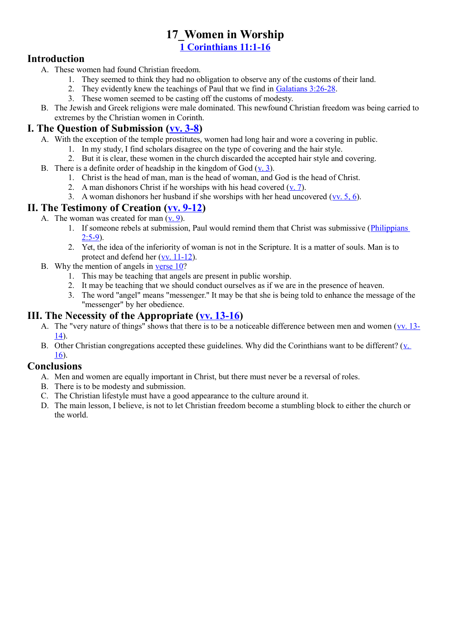## **17\_Women in Worship**

**[1 Corinthians 11:1-16](http://www.crossbooks.com/verse.asp?ref=1Co+11%3A1-16)**

#### **Introduction**

- A. These women had found Christian freedom.
	- 1. They seemed to think they had no obligation to observe any of the customs of their land.
	- 2. They evidently knew the teachings of Paul that we find in [Galatians 3:26-28.](http://www.crossbooks.com/verse.asp?ref=Gal+3%3A26-28)
	- 3. These women seemed to be casting off the customs of modesty.
- B. The Jewish and Greek religions were male dominated. This newfound Christian freedom was being carried to extremes by the Christian women in Corinth.

#### **I. The Question of Submission [\(vv. 3-8\)](http://www.crossbooks.com/verse.asp?ref=1Co+11%3A3-8)**

- A. With the exception of the temple prostitutes, women had long hair and wore a covering in public.
	- 1. In my study, I find scholars disagree on the type of covering and the hair style.
	- 2. But it is clear, these women in the church discarded the accepted hair style and covering.
- B. There is a definite order of headship in the kingdom of God [\(v. 3\)](http://www.crossbooks.com/verse.asp?ref=1Co+11%3A3).
	- 1. Christ is the head of man, man is the head of woman, and God is the head of Christ.
	- 2. A man dishonors Christ if he worships with his head covered  $(v, 7)$ .
	- 3. A woman dishonors her husband if she worships with her head uncovered (vv.  $5, 6$ ).

#### **II. The Testimony of Creation [\(vv. 9-12\)](http://www.crossbooks.com/verse.asp?ref=1Co+11%3A9-12)**

- A. The woman was created for man  $(v, 9)$ .
	- 1. If someone rebels at submission, Paul would remind them that Christ was submissive [\(Philippians](http://www.crossbooks.com/verse.asp?ref=Php+2%3A5-9)   $2.5 - 9$
	- 2. Yet, the idea of the inferiority of woman is not in the Scripture. It is a matter of souls. Man is to protect and defend her [\(vv. 11-12\)](http://www.crossbooks.com/verse.asp?ref=1Co+11%3A11-12).
- B. Why the mention of angels in [verse 10?](http://www.crossbooks.com/verse.asp?ref=1Co+11%3A10)
	- 1. This may be teaching that angels are present in public worship.
	- 2. It may be teaching that we should conduct ourselves as if we are in the presence of heaven.
	- 3. The word "angel" means "messenger." It may be that she is being told to enhance the message of the "messenger" by her obedience.

#### **III. The Necessity of the Appropriate [\(vv. 13-16\)](http://www.crossbooks.com/verse.asp?ref=1Co+11%3A13-16)**

- A. The "very nature of things" shows that there is to be a noticeable difference between men and women [\(vv. 13-](http://www.crossbooks.com/verse.asp?ref=1Co+11%3A13-14) [14\)](http://www.crossbooks.com/verse.asp?ref=1Co+11%3A13-14).
- B. Other Christian congregations accepted these guidelines. Why did the Corinthians want to be different? ([v.](http://www.crossbooks.com/verse.asp?ref=1Co+11%3A16)  [16\)](http://www.crossbooks.com/verse.asp?ref=1Co+11%3A16).

#### **Conclusions**

- A. Men and women are equally important in Christ, but there must never be a reversal of roles.
- B. There is to be modesty and submission.
- C. The Christian lifestyle must have a good appearance to the culture around it.
- D. The main lesson, I believe, is not to let Christian freedom become a stumbling block to either the church or the world.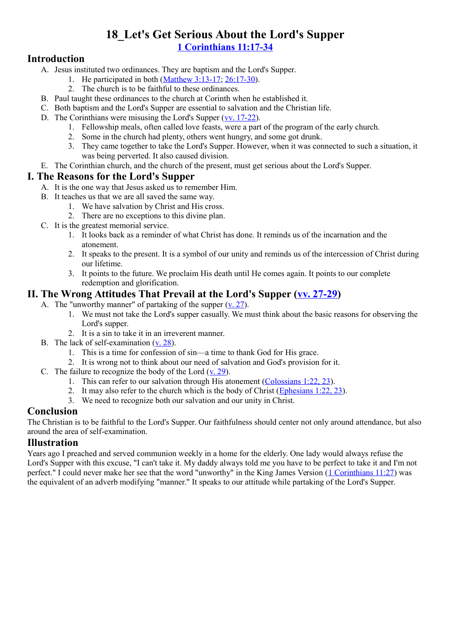## **18\_Let's Get Serious About the Lord's Supper [1 Corinthians 11:17-34](http://www.crossbooks.com/verse.asp?ref=1Co+11%3A17-34)**

#### **Introduction**

- A. Jesus instituted two ordinances. They are baptism and the Lord's Supper.
	- 1. He participated in both [\(Matthew 3:13-17;](http://www.crossbooks.com/verse.asp?ref=Mt+3%3A13-17) [26:17-30\)](http://www.crossbooks.com/verse.asp?ref=Mt+26%3A17-30).
	- 2. The church is to be faithful to these ordinances.
- B. Paul taught these ordinances to the church at Corinth when he established it.
- C. Both baptism and the Lord's Supper are essential to salvation and the Christian life.
- D. The Corinthians were misusing the Lord's Supper [\(vv. 17-22\)](http://www.crossbooks.com/verse.asp?ref=1Co+11%3A17-22).
	- 1. Fellowship meals, often called love feasts, were a part of the program of the early church.
	- 2. Some in the church had plenty, others went hungry, and some got drunk.
	- 3. They came together to take the Lord's Supper. However, when it was connected to such a situation, it was being perverted. It also caused division.
- E. The Corinthian church, and the church of the present, must get serious about the Lord's Supper.

#### **I. The Reasons for the Lord's Supper**

- A. It is the one way that Jesus asked us to remember Him.
- B. It teaches us that we are all saved the same way.
	- 1. We have salvation by Christ and His cross.
	- 2. There are no exceptions to this divine plan.
- C. It is the greatest memorial service.
	- 1. It looks back as a reminder of what Christ has done. It reminds us of the incarnation and the atonement.
	- 2. It speaks to the present. It is a symbol of our unity and reminds us of the intercession of Christ during our lifetime.
	- 3. It points to the future. We proclaim His death until He comes again. It points to our complete redemption and glorification.

#### **II. The Wrong Attitudes That Prevail at the Lord's Supper [\(vv. 27-29\)](http://www.crossbooks.com/verse.asp?ref=1Co+11%3A27-29)**

- A. The "unworthy manner" of partaking of the supper  $(v, 27)$ .
	- 1. We must not take the Lord's supper casually. We must think about the basic reasons for observing the Lord's supper.
	- 2. It is a sin to take it in an irreverent manner.
- B. The lack of self-examination [\(v. 28\)](http://www.crossbooks.com/verse.asp?ref=1Co+11%3A28).
	- 1. This is a time for confession of sin—a time to thank God for His grace.
	- 2. It is wrong not to think about our need of salvation and God's provision for it.
- C. The failure to recognize the body of the Lord  $(v, 29)$ .
	- 1. This can refer to our salvation through His atonement [\(Colossians 1:22, 23\)](http://www.crossbooks.com/verse.asp?ref=Col+1%3A22-23).
	- 2. It may also refer to the church which is the body of Christ  $(Ephesians 1:22, 23)$  $(Ephesians 1:22, 23)$ .
	- 3. We need to recognize both our salvation and our unity in Christ.

#### **Conclusion**

The Christian is to be faithful to the Lord's Supper. Our faithfulness should center not only around attendance, but also around the area of self-examination.

#### **Illustration**

Years ago I preached and served communion weekly in a home for the elderly. One lady would always refuse the Lord's Supper with this excuse, "I can't take it. My daddy always told me you have to be perfect to take it and I'm not perfect." I could never make her see that the word "unworthy" in the King James Version [\(1 Corinthians 11:27\)](http://www.crossbooks.com/verse.asp?ref=1Co+11%3A27) was the equivalent of an adverb modifying "manner." It speaks to our attitude while partaking of the Lord's Supper.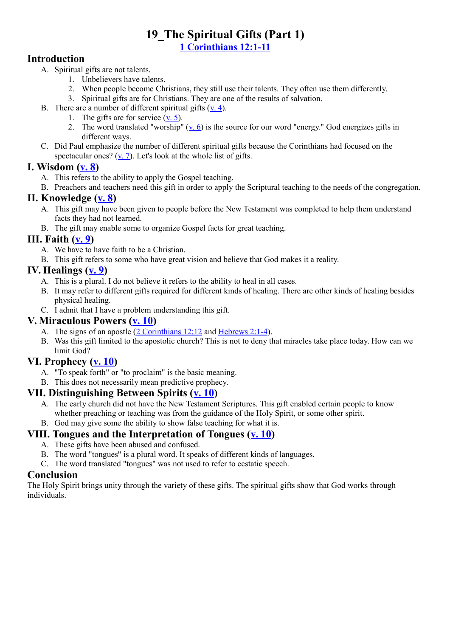#### **19\_The Spiritual Gifts (Part 1) [1 Corinthians 12:1-11](http://www.crossbooks.com/verse.asp?ref=1Co+12%3A1-11)**

#### **Introduction**

- A. Spiritual gifts are not talents.
	- 1. Unbelievers have talents.
	- 2. When people become Christians, they still use their talents. They often use them differently.
	- 3. Spiritual gifts are for Christians. They are one of the results of salvation.
- B. There are a number of different spiritual gifts [\(v. 4\)](http://www.crossbooks.com/verse.asp?ref=1Co+12%3A4).
	- 1. The gifts are for service  $(v, 5)$ .
	- 2. The word translated "worship"  $(y, 6)$  is the source for our word "energy." God energizes gifts in different ways.
- C. Did Paul emphasize the number of different spiritual gifts because the Corinthians had focused on the spectacular ones?  $(v, 7)$ . Let's look at the whole list of gifts.

#### **I. Wisdom [\(v. 8\)](http://www.crossbooks.com/verse.asp?ref=1Co+12%3A8)**

- A. This refers to the ability to apply the Gospel teaching.
- B. Preachers and teachers need this gift in order to apply the Scriptural teaching to the needs of the congregation.

#### **II. Knowledge [\(v. 8\)](http://www.crossbooks.com/verse.asp?ref=1Co+12%3A8)**

- A. This gift may have been given to people before the New Testament was completed to help them understand facts they had not learned.
- B. The gift may enable some to organize Gospel facts for great teaching.

#### **III. Faith [\(v. 9\)](http://www.crossbooks.com/verse.asp?ref=1Co+12%3A9)**

- A. We have to have faith to be a Christian.
- B. This gift refers to some who have great vision and believe that God makes it a reality.

#### **IV. Healings [\(v. 9\)](http://www.crossbooks.com/verse.asp?ref=1Co+12%3A9)**

- A. This is a plural. I do not believe it refers to the ability to heal in all cases.
- B. It may refer to different gifts required for different kinds of healing. There are other kinds of healing besides physical healing.
- C. I admit that I have a problem understanding this gift.

#### **V. Miraculous Powers [\(v. 10\)](http://www.crossbooks.com/verse.asp?ref=1Co+12%3A10)**

- A. The signs of an apostle [\(2 Corinthians 12:12](http://www.crossbooks.com/verse.asp?ref=2Co+12%3A12) and [Hebrews 2:1-4\)](http://www.crossbooks.com/verse.asp?ref=Heb+2%3A1-4).
- B. Was this gift limited to the apostolic church? This is not to deny that miracles take place today. How can we limit God?

#### **VI. Prophecy [\(v. 10\)](http://www.crossbooks.com/verse.asp?ref=1Co+12%3A10)**

- A. "To speak forth" or "to proclaim" is the basic meaning.
- B. This does not necessarily mean predictive prophecy.

#### **VII. Distinguishing Between Spirits [\(v. 10\)](http://www.crossbooks.com/verse.asp?ref=1Co+12%3A10)**

- A. The early church did not have the New Testament Scriptures. This gift enabled certain people to know whether preaching or teaching was from the guidance of the Holy Spirit, or some other spirit.
- B. God may give some the ability to show false teaching for what it is.

#### **VIII. Tongues and the Interpretation of Tongues [\(v. 10\)](http://www.crossbooks.com/verse.asp?ref=1Co+12%3A10)**

- A. These gifts have been abused and confused.
- B. The word "tongues" is a plural word. It speaks of different kinds of languages.
- C. The word translated "tongues" was not used to refer to ecstatic speech.

#### **Conclusion**

The Holy Spirit brings unity through the variety of these gifts. The spiritual gifts show that God works through individuals.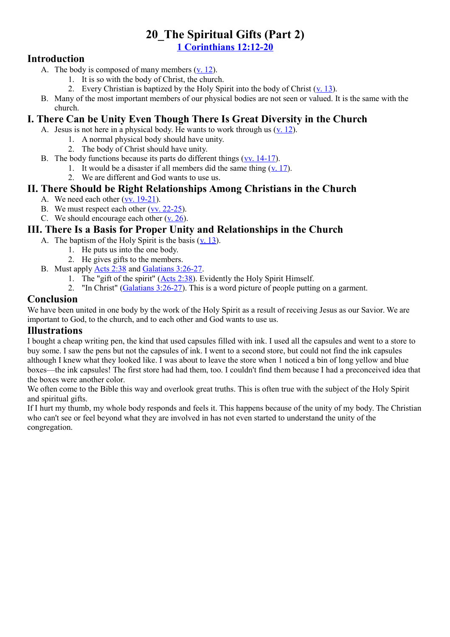#### **20\_The Spiritual Gifts (Part 2) [1 Corinthians 12:12-20](http://www.crossbooks.com/verse.asp?ref=1Co+12%3A12-20)**

#### **Introduction**

- A. The body is composed of many members [\(v. 12\)](http://www.crossbooks.com/verse.asp?ref=1Co+12%3A12).
	- 1. It is so with the body of Christ, the church.
	- 2. Every Christian is baptized by the Holy Spirit into the body of Christ  $(v, 13)$ .
- B. Many of the most important members of our physical bodies are not seen or valued. It is the same with the church.

#### **I. There Can be Unity Even Though There Is Great Diversity in the Church**

- A. Jesus is not here in a physical body. He wants to work through us  $(v, 12)$ .
	- 1. A normal physical body should have unity.
	- 2. The body of Christ should have unity.
- B. The body functions because its parts do different things  $(vv. 14-17)$ .
	- 1. It would be a disaster if all members did the same thing  $(v, 17)$ .
	- 2. We are different and God wants to use us.

#### **II. There Should be Right Relationships Among Christians in the Church**

- A. We need each other [\(vv. 19-21\)](http://www.crossbooks.com/verse.asp?ref=1Co+12%3A19-21).
- B. We must respect each other [\(vv. 22-25\)](http://www.crossbooks.com/verse.asp?ref=1Co+12%3A22-25).
- C. We should encourage each other  $(v. 26)$ .

#### **III. There Is a Basis for Proper Unity and Relationships in the Church**

- A. The baptism of the Holy Spirit is the basis  $(v, 13)$ .
	- 1. He puts us into the one body.
	- 2. He gives gifts to the members.
- B. Must apply [Acts 2:38](http://www.crossbooks.com/verse.asp?ref=Ac+2%3A38) and [Galatians 3:26-27.](http://www.crossbooks.com/verse.asp?ref=Gal+3%3A26-27)
	- 1. The "gift of the spirit" [\(Acts 2:38\)](http://www.crossbooks.com/verse.asp?ref=Ac+2%3A38). Evidently the Holy Spirit Himself.
	- 2. "In Christ" [\(Galatians 3:26-27\)](http://www.crossbooks.com/verse.asp?ref=Gal+3%3A26-27). This is a word picture of people putting on a garment.

#### **Conclusion**

We have been united in one body by the work of the Holy Spirit as a result of receiving Jesus as our Savior. We are important to God, to the church, and to each other and God wants to use us.

#### **Illustrations**

I bought a cheap writing pen, the kind that used capsules filled with ink. I used all the capsules and went to a store to buy some. I saw the pens but not the capsules of ink. I went to a second store, but could not find the ink capsules although I knew what they looked like. I was about to leave the store when 1 noticed a bin of long yellow and blue boxes—the ink capsules! The first store had had them, too. I couldn't find them because I had a preconceived idea that the boxes were another color.

We often come to the Bible this way and overlook great truths. This is often true with the subject of the Holy Spirit and spiritual gifts.

If I hurt my thumb, my whole body responds and feels it. This happens because of the unity of my body. The Christian who can't see or feel beyond what they are involved in has not even started to understand the unity of the congregation.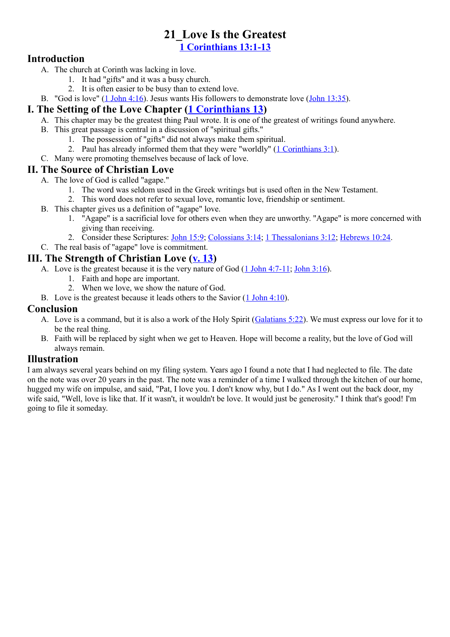# **21\_Love Is the Greatest**

**[1 Corinthians 13:1-13](http://www.crossbooks.com/verse.asp?ref=1Co+13%3A1-13)**

#### **Introduction**

- A. The church at Corinth was lacking in love.
	- 1. It had "gifts" and it was a busy church.
	- 2. It is often easier to be busy than to extend love.
- B. "God is love" [\(1 John 4:16\)](http://www.crossbooks.com/verse.asp?ref=1Jn+4%3A16). Jesus wants His followers to demonstrate love [\(John 13:35\)](http://www.crossbooks.com/verse.asp?ref=Jn+13%3A35).

## **I. The Setting of the Love Chapter [\(1 Corinthians 13\)](http://www.crossbooks.com/verse.asp?ref=1Co+13)**

- A. This chapter may be the greatest thing Paul wrote. It is one of the greatest of writings found anywhere.
- B. This great passage is central in a discussion of "spiritual gifts."
	- 1. The possession of "gifts" did not always make them spiritual.
	- 2. Paul has already informed them that they were "worldly" [\(1 Corinthians 3:1\)](http://www.crossbooks.com/verse.asp?ref=1Co+3%3A1).
- C. Many were promoting themselves because of lack of love.

#### **II. The Source of Christian Love**

- A. The love of God is called "agape."
	- 1. The word was seldom used in the Greek writings but is used often in the New Testament.
	- 2. This word does not refer to sexual love, romantic love, friendship or sentiment.
- B. This chapter gives us a definition of "agape" love.
	- 1. "Agape" is a sacrificial love for others even when they are unworthy. "Agape" is more concerned with giving than receiving.
	- 2. Consider these Scriptures: [John 15:9;](http://www.crossbooks.com/verse.asp?ref=Jn+15%3A9) [Colossians 3:14;](http://www.crossbooks.com/verse.asp?ref=Col+3%3A14) [1 Thessalonians 3:12;](http://www.crossbooks.com/verse.asp?ref=1Th+3%3A12) [Hebrews 10:24.](http://www.crossbooks.com/verse.asp?ref=Heb+10%3A24)
- C. The real basis of "agape" love is commitment.

#### **III. The Strength of Christian Love [\(v. 13\)](http://www.crossbooks.com/verse.asp?ref=1Co+13%3A13)**

- A. Love is the greatest because it is the very nature of God [\(1 John 4:7-11;](http://www.crossbooks.com/verse.asp?ref=1Jn+4%3A7-11) [John 3:16\)](http://www.crossbooks.com/verse.asp?ref=Jn+3%3A16).
	- 1. Faith and hope are important.
	- 2. When we love, we show the nature of God.
- B. Love is the greatest because it leads others to the Savior [\(1 John 4:10\)](http://www.crossbooks.com/verse.asp?ref=1Jn+4%3A10).

#### **Conclusion**

- A. Love is a command, but it is also a work of the Holy Spirit [\(Galatians 5:22\)](http://www.crossbooks.com/verse.asp?ref=Gal+5%3A22). We must express our love for it to be the real thing.
- B. Faith will be replaced by sight when we get to Heaven. Hope will become a reality, but the love of God will always remain.

#### **Illustration**

I am always several years behind on my filing system. Years ago I found a note that I had neglected to file. The date on the note was over 20 years in the past. The note was a reminder of a time I walked through the kitchen of our home, hugged my wife on impulse, and said, "Pat, I love you. I don't know why, but I do." As I went out the back door, my wife said, "Well, love is like that. If it wasn't, it wouldn't be love. It would just be generosity." I think that's good! I'm going to file it someday.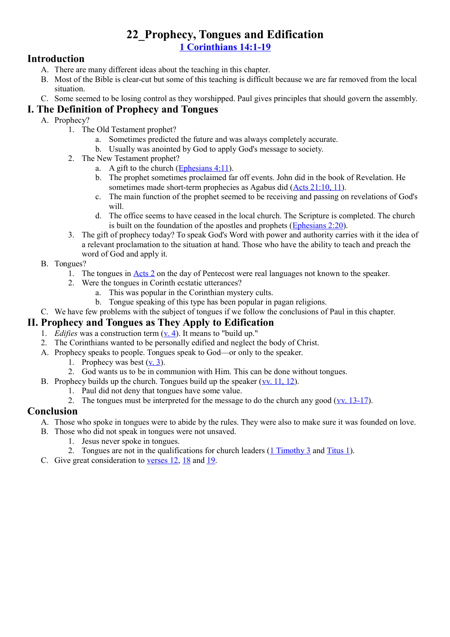## **22\_Prophecy, Tongues and Edification [1 Corinthians 14:1-19](http://www.crossbooks.com/verse.asp?ref=1Co+14%3A1-19)**

#### **Introduction**

- A. There are many different ideas about the teaching in this chapter.
- B. Most of the Bible is clear-cut but some of this teaching is difficult because we are far removed from the local situation.
- C. Some seemed to be losing control as they worshipped. Paul gives principles that should govern the assembly.

#### **I. The Definition of Prophecy and Tongues**

- A. Prophecy?
	- 1. The Old Testament prophet?
		- a. Sometimes predicted the future and was always completely accurate.
		- b. Usually was anointed by God to apply God's message to society.
	- 2. The New Testament prophet?
		- a. A gift to the church (Ephesians  $4:11$ ).
		- b. The prophet sometimes proclaimed far off events. John did in the book of Revelation. He sometimes made short-term prophecies as Agabus did [\(Acts 21:10, 11\)](http://www.crossbooks.com/verse.asp?ref=Ac+21%3A10-11).
		- c. The main function of the prophet seemed to be receiving and passing on revelations of God's will
		- d. The office seems to have ceased in the local church. The Scripture is completed. The church is built on the foundation of the apostles and prophets [\(Ephesians 2:20\)](http://www.crossbooks.com/verse.asp?ref=Eph+2%3A20).
	- 3. The gift of prophecy today? To speak God's Word with power and authority carries with it the idea of a relevant proclamation to the situation at hand. Those who have the ability to teach and preach the word of God and apply it.
- B. Tongues?
	- 1. The tongues in [Acts 2](http://www.crossbooks.com/verse.asp?ref=Ac+2) on the day of Pentecost were real languages not known to the speaker.
	- 2. Were the tongues in Corinth ecstatic utterances?
		- a. This was popular in the Corinthian mystery cults.
		- b. Tongue speaking of this type has been popular in pagan religions.
- C. We have few problems with the subject of tongues if we follow the conclusions of Paul in this chapter.

#### **II. Prophecy and Tongues as They Apply to Edification**

- 1. *Edifies* was a construction term [\(v. 4\)](http://www.crossbooks.com/verse.asp?ref=1Co+14%3A4). It means to "build up."
- 2. The Corinthians wanted to be personally edified and neglect the body of Christ.
- A. Prophecy speaks to people. Tongues speak to God—or only to the speaker.
	- 1. Prophecy was best  $(v, 3)$ .
	- 2. God wants us to be in communion with Him. This can be done without tongues.
- B. Prophecy builds up the church. Tongues build up the speaker  $(vv. 11, 12)$ .
	- 1. Paul did not deny that tongues have some value.
	- 2. The tongues must be interpreted for the message to do the church any good  $(vv. 13-17)$  $(vv. 13-17)$ .

#### **Conclusion**

- A. Those who spoke in tongues were to abide by the rules. They were also to make sure it was founded on love.
- B. Those who did not speak in tongues were not unsaved.
	- 1. Jesus never spoke in tongues.
	- 2. Tongues are not in the qualifications for church leaders  $(1$  Timothy 3 and [Titus 1\)](http://www.crossbooks.com/verse.asp?ref=Tit+1).
- C. Give great consideration to [verses 12,](http://www.crossbooks.com/verse.asp?ref=1Co+14%3A12) [18](http://www.crossbooks.com/verse.asp?ref=1Co+14%3A18) and [19.](http://www.crossbooks.com/verse.asp?ref=1Co+14%3A19)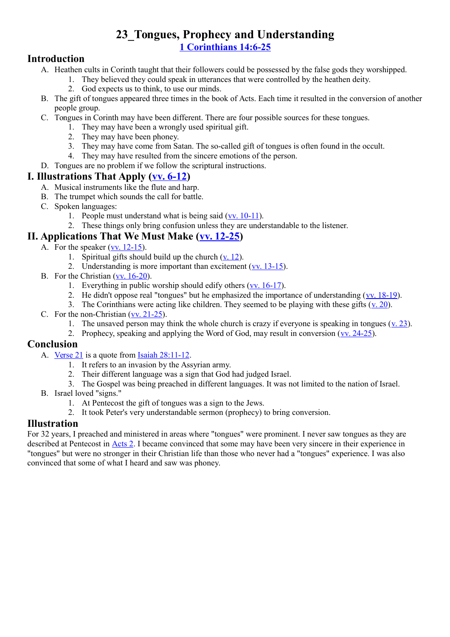## **23\_Tongues, Prophecy and Understanding [1 Corinthians 14:6-25](http://www.crossbooks.com/verse.asp?ref=1Co+14%3A6-25)**

#### **Introduction**

- A. Heathen cults in Corinth taught that their followers could be possessed by the false gods they worshipped.
	- 1. They believed they could speak in utterances that were controlled by the heathen deity.
	- 2. God expects us to think, to use our minds.
- B. The gift of tongues appeared three times in the book of Acts. Each time it resulted in the conversion of another people group.
- C. Tongues in Corinth may have been different. There are four possible sources for these tongues.
	- 1. They may have been a wrongly used spiritual gift.
	- 2. They may have been phoney.
	- 3. They may have come from Satan. The so-called gift of tongues is often found in the occult.
	- 4. They may have resulted from the sincere emotions of the person.
- D. Tongues are no problem if we follow the scriptural instructions.

#### **I. Illustrations That Apply [\(vv. 6-12\)](http://www.crossbooks.com/verse.asp?ref=1Co+14%3A6-12)**

- A. Musical instruments like the flute and harp.
- B. The trumpet which sounds the call for battle.
- C. Spoken languages:
	- 1. People must understand what is being said [\(vv. 10-11\)](http://www.crossbooks.com/verse.asp?ref=1Co+14%3A10-11).
	- 2. These things only bring confusion unless they are understandable to the listener.

#### **II. Applications That We Must Make [\(vv. 12-25\)](http://www.crossbooks.com/verse.asp?ref=1Co+14%3A12-25)**

- A. For the speaker  $(vv. 12-15)$ .
	- 1. Spiritual gifts should build up the church  $(v, 12)$ .
	- 2. Understanding is more important than excitement [\(vv. 13-15\)](http://www.crossbooks.com/verse.asp?ref=1Co+14%3A13-15).
- B. For the Christian [\(vv. 16-20\)](http://www.crossbooks.com/verse.asp?ref=1Co+14%3A16-20).
	- 1. Everything in public worship should edify others [\(vv. 16-17\)](http://www.crossbooks.com/verse.asp?ref=1Co+14%3A16-17).
	- 2. He didn't oppose real "tongues" but he emphasized the importance of understanding [\(vv. 18-19\)](http://www.crossbooks.com/verse.asp?ref=1Co+14%3A18-19).
	- 3. The Corinthians were acting like children. They seemed to be playing with these gifts  $(v. 20)$  $(v. 20)$ .
- C. For the non-Christian [\(vv. 21-25\)](http://www.crossbooks.com/verse.asp?ref=1Co+14%3A21-25).
	- 1. The unsaved person may think the whole church is crazy if everyone is speaking in tongues [\(v. 23\)](http://www.crossbooks.com/verse.asp?ref=1Co+14%3A23).
	- 2. Prophecy, speaking and applying the Word of God, may result in conversion ([vv. 24-25\)](http://www.crossbooks.com/verse.asp?ref=1Co+14%3A24-25).

#### **Conclusion**

- A. [Verse 21](http://www.crossbooks.com/verse.asp?ref=1Co+14%3A21) is a quote from [Isaiah 28:11-12.](http://www.crossbooks.com/verse.asp?ref=Isa+28%3A11-12)
	- 1. It refers to an invasion by the Assyrian army.
	- 2. Their different language was a sign that God had judged Israel.
	- 3. The Gospel was being preached in different languages. It was not limited to the nation of Israel.
- B. Israel loved "signs."
	- 1. At Pentecost the gift of tongues was a sign to the Jews.
	- 2. It took Peter's very understandable sermon (prophecy) to bring conversion.

#### **Illustration**

For 32 years, I preached and ministered in areas where "tongues" were prominent. I never saw tongues as they are described at Pentecost in [Acts 2.](http://www.crossbooks.com/verse.asp?ref=Ac+2) I became convinced that some may have been very sincere in their experience in "tongues" but were no stronger in their Christian life than those who never had a "tongues" experience. I was also convinced that some of what I heard and saw was phoney.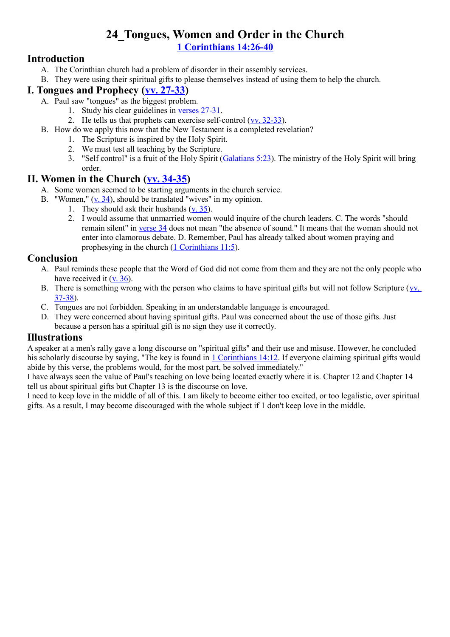#### **24\_Tongues, Women and Order in the Church [1 Corinthians 14:26-40](http://www.crossbooks.com/verse.asp?ref=1Co+14%3A26-40)**

#### **Introduction**

- A. The Corinthian church had a problem of disorder in their assembly services.
- B. They were using their spiritual gifts to please themselves instead of using them to help the church.

#### **I. Tongues and Prophecy [\(vv. 27-33\)](http://www.crossbooks.com/verse.asp?ref=1Co+14%3A27-33)**

- A. Paul saw "tongues" as the biggest problem.
	- 1. Study his clear guidelines in [verses 27-31.](http://www.crossbooks.com/verse.asp?ref=1Co+14%3A27-31)
	- 2. He tells us that prophets can exercise self-control  $(vv. 32-33)$ .
- B. How do we apply this now that the New Testament is a completed revelation?
	- 1. The Scripture is inspired by the Holy Spirit.
	- 2. We must test all teaching by the Scripture.
	- 3. "Self control" is a fruit of the Holy Spirit [\(Galatians 5:23\)](http://www.crossbooks.com/verse.asp?ref=Gal+5%3A23). The ministry of the Holy Spirit will bring order.

#### **II. Women in the Church [\(vv. 34-35\)](http://www.crossbooks.com/verse.asp?ref=1Co+14%3A34-35)**

- A. Some women seemed to be starting arguments in the church service.
- B. "Women," [\(v. 34\)](http://www.crossbooks.com/verse.asp?ref=1Co+14%3A34), should be translated "wives" in my opinion.
	- 1. They should ask their husbands  $(y. 35)$ .
		- 2. I would assume that unmarried women would inquire of the church leaders. C. The words "should remain silent" in [verse 34](http://www.crossbooks.com/verse.asp?ref=1Co+14%3A34) does not mean "the absence of sound." It means that the woman should not enter into clamorous debate. D. Remember, Paul has already talked about women praying and prophesying in the church [\(1 Corinthians 11:5\)](http://www.crossbooks.com/verse.asp?ref=1Co+11%3A5).

#### **Conclusion**

- A. Paul reminds these people that the Word of God did not come from them and they are not the only people who have received it  $(v. 36)$ .
- B. There is something wrong with the person who claims to have spiritual gifts but will not follow Scripture ([vv.](http://www.crossbooks.com/verse.asp?ref=1Co+14%3A37-38)  [37-38\)](http://www.crossbooks.com/verse.asp?ref=1Co+14%3A37-38).
- C. Tongues are not forbidden. Speaking in an understandable language is encouraged.
- D. They were concerned about having spiritual gifts. Paul was concerned about the use of those gifts. Just because a person has a spiritual gift is no sign they use it correctly.

#### **Illustrations**

A speaker at a men's rally gave a long discourse on "spiritual gifts" and their use and misuse. However, he concluded his scholarly discourse by saying, "The key is found in [1 Corinthians 14:12.](http://www.crossbooks.com/verse.asp?ref=1Co+14%3A12) If everyone claiming spiritual gifts would abide by this verse, the problems would, for the most part, be solved immediately."

I have always seen the value of Paul's teaching on love being located exactly where it is. Chapter 12 and Chapter 14 tell us about spiritual gifts but Chapter 13 is the discourse on love.

I need to keep love in the middle of all of this. I am likely to become either too excited, or too legalistic, over spiritual gifts. As a result, I may become discouraged with the whole subject if 1 don't keep love in the middle.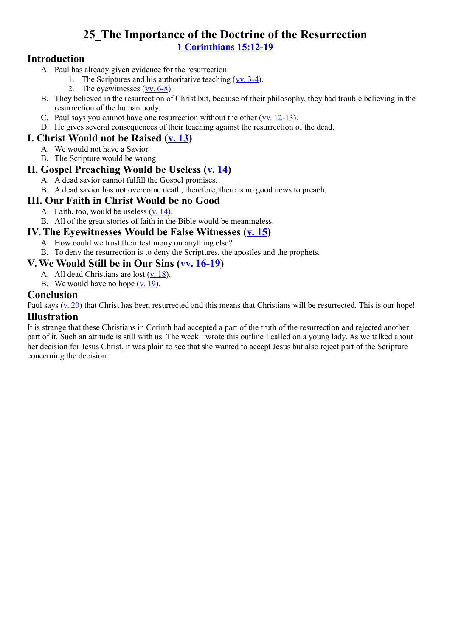## **25\_The Importance of the Doctrine of the Resurrection [1 Corinthians 15:12-19](http://www.crossbooks.com/verse.asp?ref=1Co+15%3A12-19)**

#### **Introduction**

- A. Paul has already given evidence for the resurrection.
	- 1. The Scriptures and his authoritative teaching [\(vv. 3-4\)](http://www.crossbooks.com/verse.asp?ref=1Co+15%3A3-4).
	- 2. The eyewitnesses [\(vv. 6-8\)](http://www.crossbooks.com/verse.asp?ref=1Co+15%3A6-8).
- B. They believed in the resurrection of Christ but, because of their philosophy, they had trouble believing in the resurrection of the human body.
- C. Paul says you cannot have one resurrection without the other  $(vv. 12-13)$ .
- D. He gives several consequences of their teaching against the resurrection of the dead.

#### **I. Christ Would not be Raised [\(v. 13\)](http://www.crossbooks.com/verse.asp?ref=1Co+15%3A13)**

- A. We would not have a Savior.
- B. The Scripture would be wrong.

#### **II. Gospel Preaching Would be Useless [\(v. 14\)](http://www.crossbooks.com/verse.asp?ref=1Co+15%3A14)**

- A. A dead savior cannot fulfill the Gospel promises.
- B. A dead savior has not overcome death, therefore, there is no good news to preach.

#### **III. Our Faith in Christ Would be no Good**

- A. Faith, too, would be useless [\(v. 14\)](http://www.crossbooks.com/verse.asp?ref=1Co+15%3A14).
- B. All of the great stories of faith in the Bible would be meaningless.

#### **IV. The Eyewitnesses Would be False Witnesses [\(v. 15\)](http://www.crossbooks.com/verse.asp?ref=1Co+15%3A15)**

- A. How could we trust their testimony on anything else?
- B. To deny the resurrection is to deny the Scriptures, the apostles and the prophets.

#### **V. We Would Still be in Our Sins [\(vv. 16-19\)](http://www.crossbooks.com/verse.asp?ref=1Co+15%3A16-19)**

- A. All dead Christians are lost [\(v. 18\)](http://www.crossbooks.com/verse.asp?ref=1Co+15%3A18).
	- B. We would have no hope  $(**v**$ . 19).

#### **Conclusion**

Paul says (y. 20) that Christ has been resurrected and this means that Christians will be resurrected. This is our hope!

#### **Illustration**

It is strange that these Christians in Corinth had accepted a part of the truth of the resurrection and rejected another part of it. Such an attitude is still with us. The week I wrote this outline I called on a young lady. As we talked about her decision for Jesus Christ, it was plain to see that she wanted to accept Jesus but also reject part of the Scripture concerning the decision.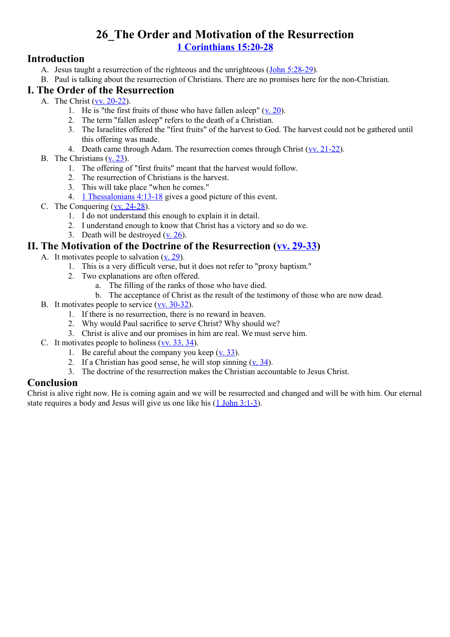## **26\_The Order and Motivation of the Resurrection [1 Corinthians 15:20-28](http://www.crossbooks.com/verse.asp?ref=1Co+15%3A20-28)**

#### **Introduction**

- A. Jesus taught a resurrection of the righteous and the unrighteous ([John 5:28-29\)](http://www.crossbooks.com/verse.asp?ref=Jn+5%3A28-29).
- B. Paul is talking about the resurrection of Christians. There are no promises here for the non-Christian.

#### **I. The Order of the Resurrection**

- A. The Christ [\(vv. 20-22\)](http://www.crossbooks.com/verse.asp?ref=1Co+15%3A20-22).
	- 1. He is "the first fruits of those who have fallen asleep"  $(y. 20)$ .
	- 2. The term "fallen asleep" refers to the death of a Christian.
	- 3. The Israelites offered the "first fruits" of the harvest to God. The harvest could not be gathered until this offering was made.
	- 4. Death came through Adam. The resurrection comes through Christ [\(vv. 21-22\)](http://www.crossbooks.com/verse.asp?ref=1Co+15%3A21-22).
- B. The Christians [\(v. 23\)](http://www.crossbooks.com/verse.asp?ref=1Co+15%3A23).
	- 1. The offering of "first fruits" meant that the harvest would follow.
	- 2. The resurrection of Christians is the harvest.
	- 3. This will take place "when he comes."
	- 4. [1 Thessalonians 4:13-18](http://www.crossbooks.com/verse.asp?ref=1Th+4%3A13-18) gives a good picture of this event.
- C. The Conquering [\(vv. 24-28\)](http://www.crossbooks.com/verse.asp?ref=1Co+15%3A24-28).
	- 1. I do not understand this enough to explain it in detail.
	- 2. I understand enough to know that Christ has a victory and so do we.
	- 3. Death will be destroyed  $(**v**$ . 26).

#### **II. The Motivation of the Doctrine of the Resurrection [\(vv. 29-33\)](http://www.crossbooks.com/verse.asp?ref=1Co+15%3A29-33)**

- A. It motivates people to salvation  $(v, 29)$ .
	- 1. This is a very difficult verse, but it does not refer to "proxy baptism."
	- 2. Two explanations are often offered.
		- a. The filling of the ranks of those who have died.
		- b. The acceptance of Christ as the result of the testimony of those who are now dead.
- B. It motivates people to service [\(vv. 30-32\)](http://www.crossbooks.com/verse.asp?ref=1Co+15%3A30-32).
	- 1. If there is no resurrection, there is no reward in heaven.
	- 2. Why would Paul sacrifice to serve Christ? Why should we?
	- 3. Christ is alive and our promises in him are real. We must serve him.
- C. It motivates people to holiness [\(vv. 33, 34\)](http://www.crossbooks.com/verse.asp?ref=1Co+15%3A33-34).
	- 1. Be careful about the company you keep [\(v. 33\)](http://www.crossbooks.com/verse.asp?ref=1Co+15%3A33).
	- 2. If a Christian has good sense, he will stop sinning  $(v, 34)$ .
	- 3. The doctrine of the resurrection makes the Christian accountable to Jesus Christ.

#### **Conclusion**

Christ is alive right now. He is coming again and we will be resurrected and changed and will be with him. Our eternal state requires a body and Jesus will give us one like his [\(1 John 3:1-3\)](http://www.crossbooks.com/verse.asp?ref=1Jn+3%3A1-3).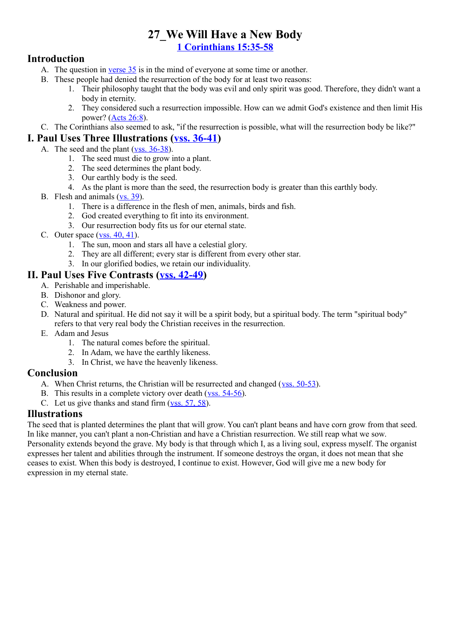# **27\_We Will Have a New Body**

**[1 Corinthians 15:35-58](http://www.crossbooks.com/verse.asp?ref=1Co+15%3A35-58)**

#### **Introduction**

- A. The question in [verse 35](http://www.crossbooks.com/verse.asp?ref=1Co+15%3A35) is in the mind of everyone at some time or another.
- B. These people had denied the resurrection of the body for at least two reasons:
	- 1. Their philosophy taught that the body was evil and only spirit was good. Therefore, they didn't want a body in eternity.
	- 2. They considered such a resurrection impossible. How can we admit God's existence and then limit His power? [\(Acts 26:8\)](http://www.crossbooks.com/verse.asp?ref=Ac+26%3A8).
- C. The Corinthians also seemed to ask, "if the resurrection is possible, what will the resurrection body be like?"

#### **I. Paul Uses Three Illustrations [\(vss. 36-41\)](http://www.crossbooks.com/verse.asp?ref=1Co+15%3A36-41)**

- A. The seed and the plant [\(vss. 36-38\)](http://www.crossbooks.com/verse.asp?ref=1Co+15%3A36-38).
	- 1. The seed must die to grow into a plant.
	- 2. The seed determines the plant body.
	- 3. Our earthly body is the seed.
	- 4. As the plant is more than the seed, the resurrection body is greater than this earthly body.
- B. Flesh and animals [\(vs. 39\)](http://www.crossbooks.com/verse.asp?ref=1Co+15%3A39).
	- 1. There is a difference in the flesh of men, animals, birds and fish.
	- 2. God created everything to fit into its environment.
	- 3. Our resurrection body fits us for our eternal state.
- C. Outer space  $(vss. 40, 41)$ .
	- 1. The sun, moon and stars all have a celestial glory.
	- 2. They are all different; every star is different from every other star.
	- 3. In our glorified bodies, we retain our individuality.

#### **II. Paul Uses Five Contrasts [\(vss. 42-49\)](http://www.crossbooks.com/verse.asp?ref=1Co+15%3A42-49)**

- A. Perishable and imperishable.
- B. Dishonor and glory.
- C. Weakness and power.
- D. Natural and spiritual. He did not say it will be a spirit body, but a spiritual body. The term "spiritual body" refers to that very real body the Christian receives in the resurrection.
- E. Adam and Jesus
	- 1. The natural comes before the spiritual.
	- 2. In Adam, we have the earthly likeness.
	- 3. In Christ, we have the heavenly likeness.

#### **Conclusion**

- A. When Christ returns, the Christian will be resurrected and changed [\(vss. 50-53\)](http://www.crossbooks.com/verse.asp?ref=1Co+15%3A50-53).
- B. This results in a complete victory over death (yss. 54-56).
- C. Let us give thanks and stand firm [\(vss. 57, 58\)](http://www.crossbooks.com/verse.asp?ref=1Co+15%3A57-58).

#### **Illustrations**

The seed that is planted determines the plant that will grow. You can't plant beans and have corn grow from that seed. In like manner, you can't plant a non-Christian and have a Christian resurrection. We still reap what we sow. Personality extends beyond the grave. My body is that through which I, as a living soul, express myself. The organist expresses her talent and abilities through the instrument. If someone destroys the organ, it does not mean that she ceases to exist. When this body is destroyed, I continue to exist. However, God will give me a new body for expression in my eternal state.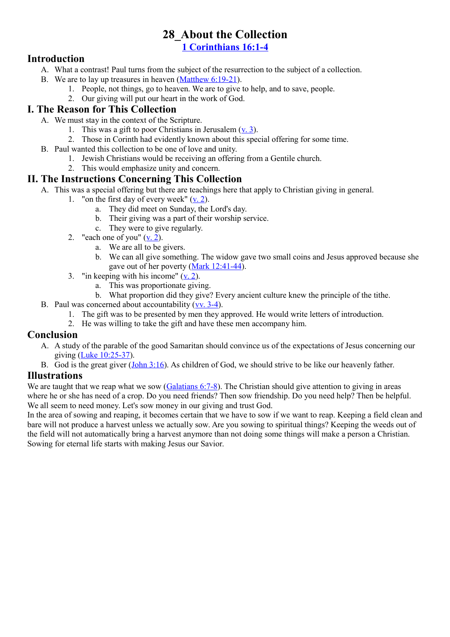# **28\_About the Collection**

**[1 Corinthians 16:1-4](http://www.crossbooks.com/verse.asp?ref=1Co+16%3A1-4)**

#### **Introduction**

- A. What a contrast! Paul turns from the subject of the resurrection to the subject of a collection.
- B. We are to lay up treasures in heaven [\(Matthew 6:19-21\)](http://www.crossbooks.com/verse.asp?ref=Mt+6%3A19-21).
	- 1. People, not things, go to heaven. We are to give to help, and to save, people.
	- 2. Our giving will put our heart in the work of God.

#### **I. The Reason for This Collection**

- A. We must stay in the context of the Scripture.
	- 1. This was a gift to poor Christians in Jerusalem  $(v, 3)$ .
	- 2. Those in Corinth had evidently known about this special offering for some time.
- B. Paul wanted this collection to be one of love and unity.
	- 1. Jewish Christians would be receiving an offering from a Gentile church.
	- 2. This would emphasize unity and concern.

#### **II. The Instructions Concerning This Collection**

- A. This was a special offering but there are teachings here that apply to Christian giving in general.
	- 1. "on the first day of every week"  $(v, 2)$ .
		- a. They did meet on Sunday, the Lord's day.
		- b. Their giving was a part of their worship service.
		- c. They were to give regularly.
	- 2. "each one of you" [\(v. 2\)](http://www.crossbooks.com/verse.asp?ref=1Co+16%3A2).
		- a. We are all to be givers.
		- b. We can all give something. The widow gave two small coins and Jesus approved because she gave out of her poverty [\(Mark 12:41-44\)](http://www.crossbooks.com/verse.asp?ref=Mk+12%3A41-44).
	- 3. "in keeping with his income"  $(v, 2)$ .
		- a. This was proportionate giving.
		- b. What proportion did they give? Every ancient culture knew the principle of the tithe.
- B. Paul was concerned about accountability [\(vv. 3-4\)](http://www.crossbooks.com/verse.asp?ref=1Co+16%3A3-4).
	- 1. The gift was to be presented by men they approved. He would write letters of introduction.
	- 2. He was willing to take the gift and have these men accompany him.

#### **Conclusion**

- A. A study of the parable of the good Samaritan should convince us of the expectations of Jesus concerning our giving [\(Luke 10:25-37\)](http://www.crossbooks.com/verse.asp?ref=Lk+10%3A25-37).
- B. God is the great giver [\(John 3:16\)](http://www.crossbooks.com/verse.asp?ref=Jn+3%3A16). As children of God, we should strive to be like our heavenly father.

#### **Illustrations**

We are taught that we reap what we sow [\(Galatians 6:7-8\)](http://www.crossbooks.com/verse.asp?ref=Gal+6%3A7-8). The Christian should give attention to giving in areas where he or she has need of a crop. Do you need friends? Then sow friendship. Do you need help? Then be helpful. We all seem to need money. Let's sow money in our giving and trust God.

In the area of sowing and reaping, it becomes certain that we have to sow if we want to reap. Keeping a field clean and bare will not produce a harvest unless we actually sow. Are you sowing to spiritual things? Keeping the weeds out of the field will not automatically bring a harvest anymore than not doing some things will make a person a Christian. Sowing for eternal life starts with making Jesus our Savior.